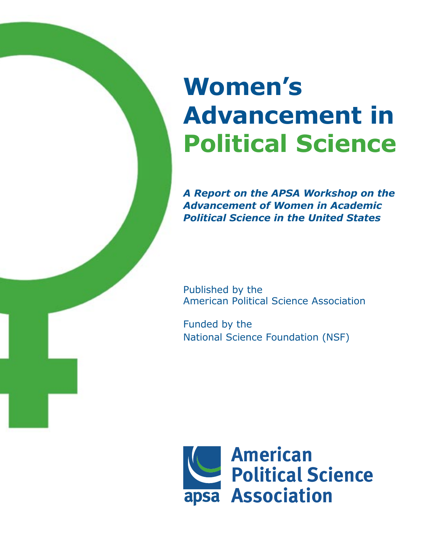# **Women's Advancement in Political Science**

*A Report on the APSA Workshop on the Advancement of Women in Academic Political Science in the United States*

Published by the American Political Science Association

Funded by the National Science Foundation (NSF)

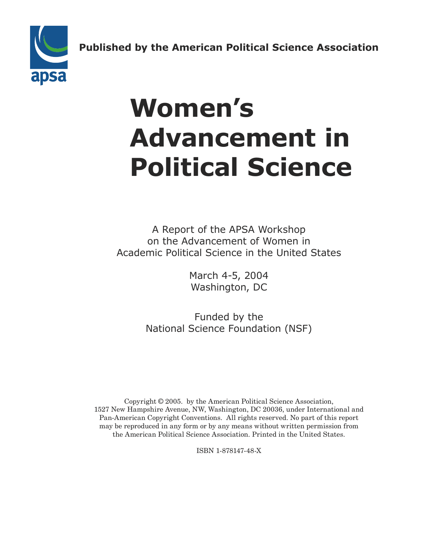**Published by the American Political Science Association American Published by the Americar** 



# **Women's Advancement in Political Science**

A Report of the APSA Workshop on the Advancement of Women in Academic Political Science in the United States

> March 4-5, 2004 Washington, DC

Funded by the National Science Foundation (NSF)

Copyright © 2005. by the American Political Science Association, 1527 New Hampshire Avenue, NW, Washington, DC 20036, under International and Pan-American Copyright Conventions. All rights reserved. No part of this report may be reproduced in any form or by any means without written permission from the American Political Science Association. Printed in the United States.

ISBN 1-878147-48-X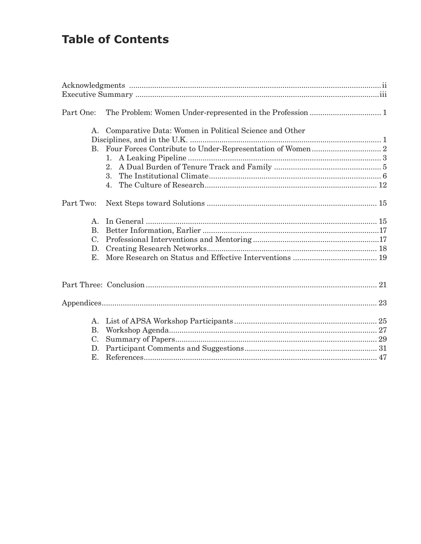# **Table of Contents**

| Part One:   |                                                        |  |
|-------------|--------------------------------------------------------|--|
|             |                                                        |  |
| A.          | Comparative Data: Women in Political Science and Other |  |
|             |                                                        |  |
|             |                                                        |  |
|             |                                                        |  |
|             | 2.                                                     |  |
|             | $3_{-}$                                                |  |
|             |                                                        |  |
| Part Two:   |                                                        |  |
| $A_{1}$     |                                                        |  |
| <b>B.</b>   |                                                        |  |
| C.          |                                                        |  |
| D.          |                                                        |  |
| $E_{\rm L}$ |                                                        |  |
|             |                                                        |  |
|             |                                                        |  |
|             |                                                        |  |
| A.          |                                                        |  |
| <b>B.</b>   |                                                        |  |
| $C_{\cdot}$ |                                                        |  |
| D.          |                                                        |  |
| Е.          |                                                        |  |
|             |                                                        |  |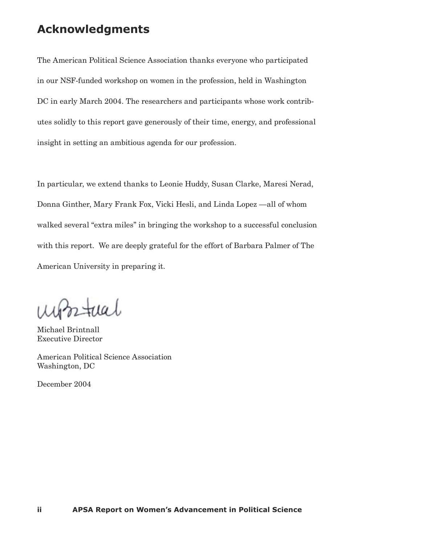# **Acknowledgments**

The American Political Science Association thanks everyone who participated in our NSF-funded workshop on women in the profession, held in Washington DC in early March 2004. The researchers and participants whose work contributes solidly to this report gave generously of their time, energy, and professional insight in setting an ambitious agenda for our profession.

In particular, we extend thanks to Leonie Huddy, Susan Clarke, Maresi Nerad, Donna Ginther, Mary Frank Fox, Vicki Hesli, and Linda Lopez —all of whom walked several "extra miles" in bringing the workshop to a successful conclusion with this report. We are deeply grateful for the effort of Barbara Palmer of The American University in preparing it.

 $atual$ 

Michael Brintnall Executive Director

American Political Science Association Washington, DC

December 2004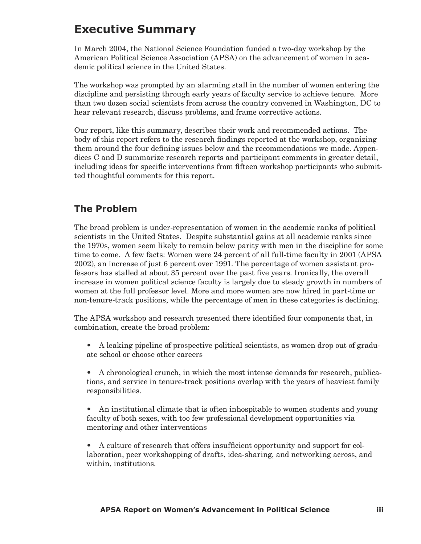# **Executive Summary**

In March 2004, the National Science Foundation funded a two-day workshop by the American Political Science Association (APSA) on the advancement of women in academic political science in the United States.

The workshop was prompted by an alarming stall in the number of women entering the discipline and persisting through early years of faculty service to achieve tenure. More than two dozen social scientists from across the country convened in Washington, DC to hear relevant research, discuss problems, and frame corrective actions.

Our report, like this summary, describes their work and recommended actions. The body of this report refers to the research findings reported at the workshop, organizing them around the four defining issues below and the recommendations we made. Appendices C and D summarize research reports and participant comments in greater detail, including ideas for specific interventions from fifteen workshop participants who submitted thoughtful comments for this report.

# **The Problem**

The broad problem is under-representation of women in the academic ranks of political scientists in the United States. Despite substantial gains at all academic ranks since the 1970s, women seem likely to remain below parity with men in the discipline for some time to come. A few facts: Women were 24 percent of all full-time faculty in 2001 (APSA 2002), an increase of just 6 percent over 1991. The percentage of women assistant professors has stalled at about 35 percent over the past five years. Ironically, the overall increase in women political science faculty is largely due to steady growth in numbers of women at the full professor level. More and more women are now hired in part-time or non-tenure-track positions, while the percentage of men in these categories is declining.

The APSA workshop and research presented there identified four components that, in combination, create the broad problem:

- A leaking pipeline of prospective political scientists, as women drop out of graduate school or choose other careers
- A chronological crunch, in which the most intense demands for research, publications, and service in tenure-track positions overlap with the years of heaviest family responsibilities.

• An institutional climate that is often inhospitable to women students and young faculty of both sexes, with too few professional development opportunities via mentoring and other interventions

• A culture of research that offers insufficient opportunity and support for collaboration, peer workshopping of drafts, idea-sharing, and networking across, and within, institutions.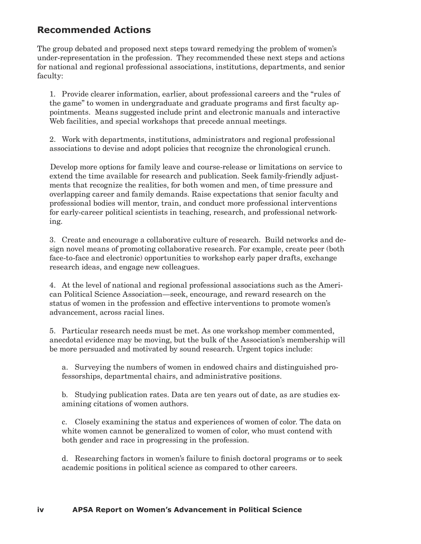# **Recommended Actions**

The group debated and proposed next steps toward remedying the problem of women's under-representation in the profession. They recommended these next steps and actions for national and regional professional associations, institutions, departments, and senior faculty:

1. Provide clearer information, earlier, about professional careers and the "rules of the game" to women in undergraduate and graduate programs and first faculty appointments. Means suggested include print and electronic manuals and interactive Web facilities, and special workshops that precede annual meetings.

2. Work with departments, institutions, administrators and regional professional associations to devise and adopt policies that recognize the chronological crunch.

Develop more options for family leave and course-release or limitations on service to extend the time available for research and publication. Seek family-friendly adjustments that recognize the realities, for both women and men, of time pressure and overlapping career and family demands. Raise expectations that senior faculty and professional bodies will mentor, train, and conduct more professional interventions for early-career political scientists in teaching, research, and professional networking.

3. Create and encourage a collaborative culture of research. Build networks and design novel means of promoting collaborative research. For example, create peer (both face-to-face and electronic) opportunities to workshop early paper drafts, exchange research ideas, and engage new colleagues.

4. At the level of national and regional professional associations such as the American Political Science Association—seek, encourage, and reward research on the status of women in the profession and effective interventions to promote women's advancement, across racial lines.

5. Particular research needs must be met. As one workshop member commented, anecdotal evidence may be moving, but the bulk of the Association's membership will be more persuaded and motivated by sound research. Urgent topics include:

a. Surveying the numbers of women in endowed chairs and distinguished professorships, departmental chairs, and administrative positions.

b. Studying publication rates. Data are ten years out of date, as are studies examining citations of women authors.

c. Closely examining the status and experiences of women of color. The data on white women cannot be generalized to women of color, who must contend with both gender and race in progressing in the profession.

d. Researching factors in women's failure to finish doctoral programs or to seek academic positions in political science as compared to other careers.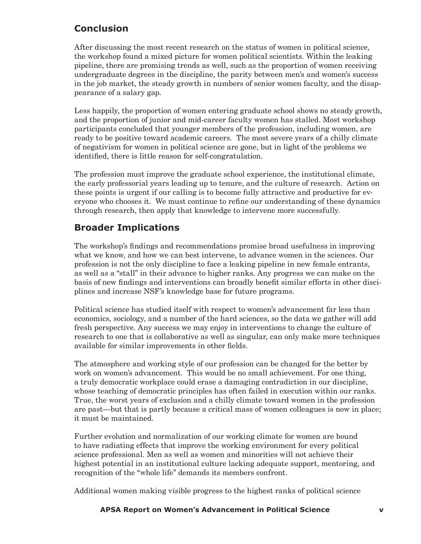# **Conclusion**

After discussing the most recent research on the status of women in political science, the workshop found a mixed picture for women political scientists. Within the leaking pipeline, there are promising trends as well, such as the proportion of women receiving undergraduate degrees in the discipline, the parity between men's and women's success in the job market, the steady growth in numbers of senior women faculty, and the disappearance of a salary gap.

Less happily, the proportion of women entering graduate school shows no steady growth, and the proportion of junior and mid-career faculty women has stalled. Most workshop participants concluded that younger members of the profession, including women, are ready to be positive toward academic careers. The most severe years of a chilly climate of negativism for women in political science are gone, but in light of the problems we identified, there is little reason for self-congratulation.

The profession must improve the graduate school experience, the institutional climate, the early professorial years leading up to tenure, and the culture of research. Action on these points is urgent if our calling is to become fully attractive and productive for everyone who chooses it. We must continue to refine our understanding of these dynamics through research, then apply that knowledge to intervene more successfully.

# **Broader Implications**

The workshop's findings and recommendations promise broad usefulness in improving what we know, and how we can best intervene, to advance women in the sciences. Our profession is not the only discipline to face a leaking pipeline in new female entrants, as well as a "stall" in their advance to higher ranks. Any progress we can make on the basis of new findings and interventions can broadly benefit similar efforts in other disciplines and increase NSF's knowledge base for future programs.

Political science has studied itself with respect to women's advancement far less than economics, sociology, and a number of the hard sciences, so the data we gather will add fresh perspective. Any success we may enjoy in interventions to change the culture of research to one that is collaborative as well as singular, can only make more techniques available for similar improvements in other fields.

The atmosphere and working style of our profession can be changed for the better by work on women's advancement. This would be no small achievement. For one thing, a truly democratic workplace could erase a damaging contradiction in our discipline, whose teaching of democratic principles has often failed in execution within our ranks. True, the worst years of exclusion and a chilly climate toward women in the profession are past—but that is partly because a critical mass of women colleagues is now in place; it must be maintained.

Further evolution and normalization of our working climate for women are bound to have radiating effects that improve the working environment for every political science professional. Men as well as women and minorities will not achieve their highest potential in an institutional culture lacking adequate support, mentoring, and recognition of the "whole life" demands its members confront.

Additional women making visible progress to the highest ranks of political science

## **iv APSA Report on Women's Advancement in Political Science APSA Report on Women's Advancement in Political Science v**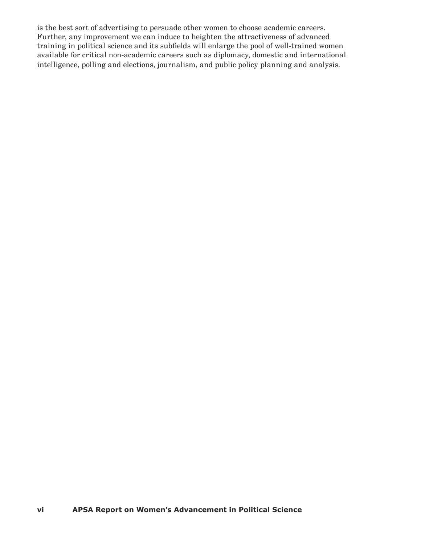is the best sort of advertising to persuade other women to choose academic careers. Further, any improvement we can induce to heighten the attractiveness of advanced training in political science and its subfields will enlarge the pool of well-trained women available for critical non-academic careers such as diplomacy, domestic and international intelligence, polling and elections, journalism, and public policy planning and analysis.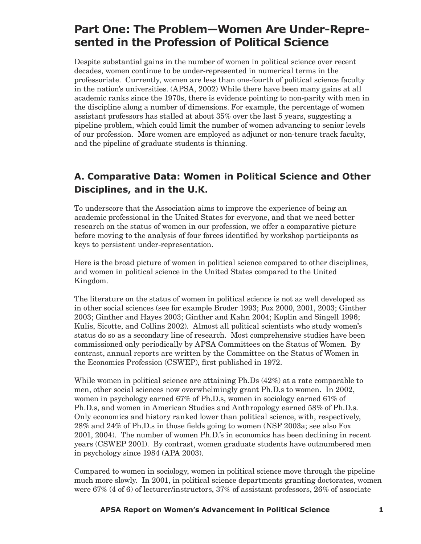# **Part One: The Problem—Women Are Under-Represented in the Profession of Political Science**

Despite substantial gains in the number of women in political science over recent decades, women continue to be under-represented in numerical terms in the professoriate. Currently, women are less than one-fourth of political science faculty in the nation's universities. (APSA, 2002) While there have been many gains at all academic ranks since the 1970s, there is evidence pointing to non-parity with men in the discipline along a number of dimensions. For example, the percentage of women assistant professors has stalled at about 35% over the last 5 years, suggesting a pipeline problem, which could limit the number of women advancing to senior levels of our profession. More women are employed as adjunct or non-tenure track faculty, and the pipeline of graduate students is thinning.

# **A. Comparative Data: Women in Political Science and Other Disciplines, and in the U.K.**

To underscore that the Association aims to improve the experience of being an academic professional in the United States for everyone, and that we need better research on the status of women in our profession, we offer a comparative picture before moving to the analysis of four forces identified by workshop participants as keys to persistent under-representation.

Here is the broad picture of women in political science compared to other disciplines, and women in political science in the United States compared to the United Kingdom.

The literature on the status of women in political science is not as well developed as in other social sciences (see for example Broder 1993; Fox 2000, 2001, 2003; Ginther 2003; Ginther and Hayes 2003; Ginther and Kahn 2004; Koplin and Singell 1996; Kulis, Sicotte, and Collins 2002). Almost all political scientists who study women's status do so as a secondary line of research. Most comprehensive studies have been commissioned only periodically by APSA Committees on the Status of Women. By contrast, annual reports are written by the Committee on the Status of Women in the Economics Profession (CSWEP), first published in 1972.

While women in political science are attaining Ph.Ds (42%) at a rate comparable to men, other social sciences now overwhelmingly grant Ph.D.s to women. In 2002, women in psychology earned 67% of Ph.D.s, women in sociology earned 61% of Ph.D.s, and women in American Studies and Anthropology earned 58% of Ph.D.s. Only economics and history ranked lower than political science, with, respectively, 28% and 24% of Ph.D.s in those fields going to women (NSF 2003a; see also Fox 2001, 2004). The number of women Ph.D.'s in economics has been declining in recent years (CSWEP 2001). By contrast, women graduate students have outnumbered men in psychology since 1984 (APA 2003).

Compared to women in sociology, women in political science move through the pipeline much more slowly. In 2001, in political science departments granting doctorates, women were 67% (4 of 6) of lecturer/instructors, 37% of assistant professors, 26% of associate

## **vi APSA Report on Women's Advancement in Political Science APSA Report on Women's Advancement in Political Science 1**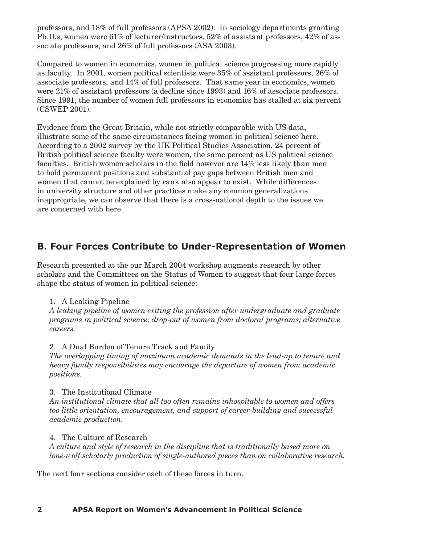professors, and 18% of full professors (APSA 2002). In sociology departments granting Ph.D.s, women were 61% of lecturer/instructors, 52% of assistant professors, 42% of associate professors, and 26% of full professors (ASA 2003).

Compared to women in economics, women in political science progressing more rapidly as faculty. In 2001, women political scientists were 35% of assistant professors, 26% of associate professors, and 14% of full professors. That same year in economics, women were 21% of assistant professors (a decline since 1993) and 16% of associate professors. Since 1991, the number of women full professors in economics has stalled at six percent (CSWEP 2001).

Evidence from the Great Britain, while not strictly comparable with US data, illustrate some of the same circumstances facing women in political science here. According to a 2002 survey by the UK Political Studies Association, 24 percent of British political science faculty were women, the same percent as US political science faculties. British women scholars in the field however are 14% less likely than men to hold permanent positions and substantial pay gaps between British men and women that cannot be explained by rank also appear to exist. While differences in university structure and other practices make any common generalizations inappropriate, we can observe that there is a cross-national depth to the issues we are concerned with here.

# **B. Four Forces Contribute to Under-Representation of Women**

Research presented at the our March 2004 workshop augments research by other scholars and the Committees on the Status of Women to suggest that four large forces shape the status of women in political science:

# 1. A Leaking Pipeline

*A leaking pipeline of women exiting the profession after undergraduate and graduate programs in political science; drop-out of women from doctoral programs; alternative careers.*

# 2. A Dual Burden of Tenure Track and Family

*The overlapping timing of maximum academic demands in the lead-up to tenure and heavy family responsibilities may encourage the departure of women from academic positions.*

# 3. The Institutional Climate

*An institutional climate that all too often remains inhospitable to women and offers too little orientation, encouragement, and support of career-building and successful academic production.* 

## 4. The Culture of Research

*A culture and style of research in the discipline that is traditionally based more on lone-wolf scholarly production of single-authored pieces than on collaborative research.*

The next four sections consider each of these forces in turn.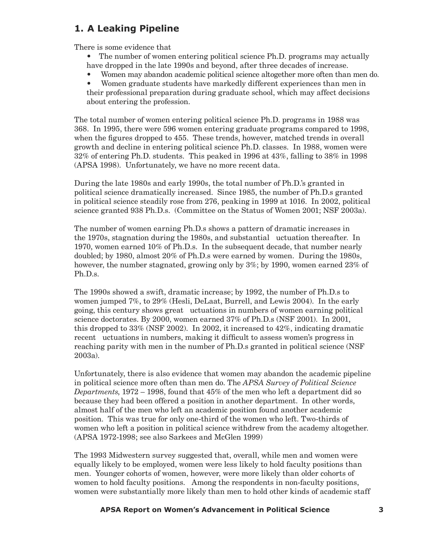# **1. A Leaking Pipeline**

There is some evidence that

- The number of women entering political science Ph.D. programs may actually have dropped in the late 1990s and beyond, after three decades of increase.
- Women may abandon academic political science altogether more often than men do.

• Women graduate students have markedly different experiences than men in their professional preparation during graduate school, which may affect decisions about entering the profession.

The total number of women entering political science Ph.D. programs in 1988 was 368. In 1995, there were 596 women entering graduate programs compared to 1998, when the figures dropped to 455. These trends, however, matched trends in overall growth and decline in entering political science Ph.D. classes. In 1988, women were 32% of entering Ph.D. students. This peaked in 1996 at 43%, falling to 38% in 1998 (APSA 1998). Unfortunately, we have no more recent data.

During the late 1980s and early 1990s, the total number of Ph.D.'s granted in political science dramatically increased. Since 1985, the number of Ph.D.s granted in political science steadily rose from 276, peaking in 1999 at 1016. In 2002, political science granted 938 Ph.D.s. (Committee on the Status of Women 2001; NSF 2003a).

The number of women earning Ph.D.s shows a pattern of dramatic increases in the 1970s, stagnation during the 1980s, and substantial uctuation thereafter. In 1970, women earned 10% of Ph.D.s. In the subsequent decade, that number nearly doubled; by 1980, almost 20% of Ph.D.s were earned by women. During the 1980s, however, the number stagnated, growing only by 3%; by 1990, women earned 23% of Ph.D.s.

The 1990s showed a swift, dramatic increase; by 1992, the number of Ph.D.s to women jumped 7%, to 29% (Hesli, DeLaat, Burrell, and Lewis 2004). In the early going, this century shows great uctuations in numbers of women earning political science doctorates. By 2000, women earned 37% of Ph.D.s (NSF 2001). In 2001, this dropped to  $33\%$  (NSF 2002). In 2002, it increased to  $42\%$ , indicating dramatic recent uctuations in numbers, making it difficult to assess women's progress in reaching parity with men in the number of Ph.D.s granted in political science (NSF 2003a).

Unfortunately, there is also evidence that women may abandon the academic pipeline in political science more often than men do. The *APSA Survey of Political Science Departments*, 1972 – 1998, found that 45% of the men who left a department did so because they had been offered a position in another department. In other words, almost half of the men who left an academic position found another academic position. This was true for only one-third of the women who left. Two-thirds of women who left a position in political science withdrew from the academy altogether. (APSA 1972-1998; see also Sarkees and McGlen 1999)

The 1993 Midwestern survey suggested that, overall, while men and women were equally likely to be employed, women were less likely to hold faculty positions than men. Younger cohorts of women, however, were more likely than older cohorts of women to hold faculty positions. Among the respondents in non-faculty positions, women were substantially more likely than men to hold other kinds of academic staff

#### **2 APSA Report on Women's Advancement in Political Science APSA Report on Women's Advancement in Political Science 3**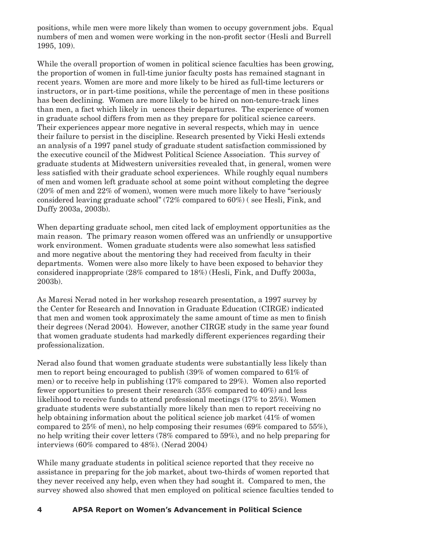positions, while men were more likely than women to occupy government jobs. Equal numbers of men and women were working in the non-profit sector (Hesli and Burrell 1995, 109).

While the overall proportion of women in political science faculties has been growing, the proportion of women in full-time junior faculty posts has remained stagnant in recent years. Women are more and more likely to be hired as full-time lecturers or instructors, or in part-time positions, while the percentage of men in these positions has been declining. Women are more likely to be hired on non-tenure-track lines than men, a fact which likely in uences their departures. The experience of women in graduate school differs from men as they prepare for political science careers. Their experiences appear more negative in several respects, which may in uence their failure to persist in the discipline. Research presented by Vicki Hesli extends an analysis of a 1997 panel study of graduate student satisfaction commissioned by the executive council of the Midwest Political Science Association. This survey of graduate students at Midwestern universities revealed that, in general, women were less satisfied with their graduate school experiences. While roughly equal numbers of men and women left graduate school at some point without completing the degree (20% of men and 22% of women), women were much more likely to have "seriously considered leaving graduate school" (72% compared to 60%) ( see Hesli, Fink, and Duffy 2003a, 2003b).

When departing graduate school, men cited lack of employment opportunities as the main reason. The primary reason women offered was an unfriendly or unsupportive work environment. Women graduate students were also somewhat less satisfied and more negative about the mentoring they had received from faculty in their departments. Women were also more likely to have been exposed to behavior they considered inappropriate (28% compared to 18%) (Hesli, Fink, and Duffy 2003a, 2003b).

As Maresi Nerad noted in her workshop research presentation, a 1997 survey by the Center for Research and Innovation in Graduate Education (CIRGE) indicated that men and women took approximately the same amount of time as men to finish their degrees (Nerad 2004). However, another CIRGE study in the same year found that women graduate students had markedly different experiences regarding their professionalization.

Nerad also found that women graduate students were substantially less likely than men to report being encouraged to publish (39% of women compared to 61% of men) or to receive help in publishing (17% compared to 29%). Women also reported fewer opportunities to present their research (35% compared to 40%) and less likelihood to receive funds to attend professional meetings (17% to 25%). Women graduate students were substantially more likely than men to report receiving no help obtaining information about the political science job market (41% of women compared to 25% of men), no help composing their resumes (69% compared to 55%), no help writing their cover letters (78% compared to 59%), and no help preparing for interviews (60% compared to 48%). (Nerad 2004)

While many graduate students in political science reported that they receive no assistance in preparing for the job market, about two-thirds of women reported that they never received any help, even when they had sought it. Compared to men, the survey showed also showed that men employed on political science faculties tended to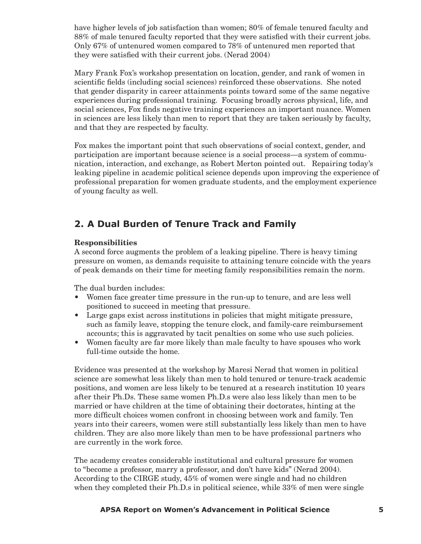have higher levels of job satisfaction than women; 80% of female tenured faculty and 88% of male tenured faculty reported that they were satisfied with their current jobs. Only 67% of untenured women compared to 78% of untenured men reported that they were satisfied with their current jobs. (Nerad 2004)

Mary Frank Fox's workshop presentation on location, gender, and rank of women in scientific fields (including social sciences) reinforced these observations. She noted that gender disparity in career attainments points toward some of the same negative experiences during professional training. Focusing broadly across physical, life, and social sciences, Fox finds negative training experiences an important nuance. Women in sciences are less likely than men to report that they are taken seriously by faculty, and that they are respected by faculty.

Fox makes the important point that such observations of social context, gender, and participation are important because science is a social process—a system of communication, interaction, and exchange, as Robert Merton pointed out. Repairing today's leaking pipeline in academic political science depends upon improving the experience of professional preparation for women graduate students, and the employment experience of young faculty as well.

# **2. A Dual Burden of Tenure Track and Family**

# **Responsibilities**

A second force augments the problem of a leaking pipeline. There is heavy timing pressure on women, as demands requisite to attaining tenure coincide with the years of peak demands on their time for meeting family responsibilities remain the norm.

The dual burden includes:

- Women face greater time pressure in the run-up to tenure, and are less well positioned to succeed in meeting that pressure.
- Large gaps exist across institutions in policies that might mitigate pressure, such as family leave, stopping the tenure clock, and family-care reimbursement accounts; this is aggravated by tacit penalties on some who use such policies.
- Women faculty are far more likely than male faculty to have spouses who work full-time outside the home.

Evidence was presented at the workshop by Maresi Nerad that women in political science are somewhat less likely than men to hold tenured or tenure-track academic positions, and women are less likely to be tenured at a research institution 10 years after their Ph.Ds. These same women Ph.D.s were also less likely than men to be married or have children at the time of obtaining their doctorates, hinting at the more difficult choices women confront in choosing between work and family. Ten years into their careers, women were still substantially less likely than men to have children. They are also more likely than men to be have professional partners who are currently in the work force.

The academy creates considerable institutional and cultural pressure for women to "become a professor, marry a professor, and don't have kids" (Nerad 2004). According to the CIRGE study, 45% of women were single and had no children when they completed their Ph.D.s in political science, while 33% of men were single

## **4 APSA Report on Women's Advancement in Political Science APSA Report on Women's Advancement in Political Science 5**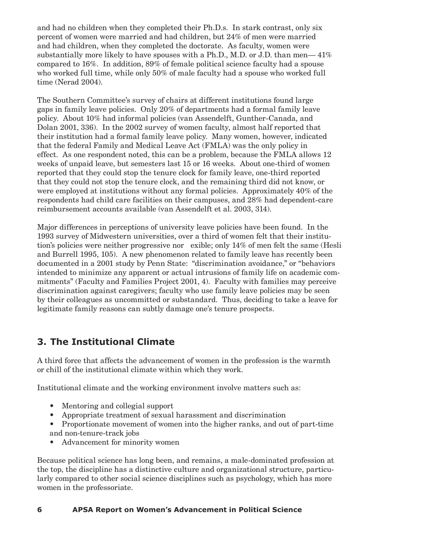and had no children when they completed their Ph.D.s. In stark contrast, only six percent of women were married and had children, but 24% of men were married and had children, when they completed the doctorate. As faculty, women were substantially more likely to have spouses with a Ph.D., M.D. or J.D. than men— 41% compared to 16%. In addition, 89% of female political science faculty had a spouse who worked full time, while only 50% of male faculty had a spouse who worked full time (Nerad 2004).

The Southern Committee's survey of chairs at different institutions found large gaps in family leave policies. Only 20% of departments had a formal family leave policy. About 10% had informal policies (van Assendelft, Gunther-Canada, and Dolan 2001, 336). In the 2002 survey of women faculty, almost half reported that their institution had a formal family leave policy. Many women, however, indicated that the federal Family and Medical Leave Act (FMLA) was the only policy in effect. As one respondent noted, this can be a problem, because the FMLA allows 12 weeks of unpaid leave, but semesters last 15 or 16 weeks. About one-third of women reported that they could stop the tenure clock for family leave, one-third reported that they could not stop the tenure clock, and the remaining third did not know, or were employed at institutions without any formal policies. Approximately 40% of the respondents had child care facilities on their campuses, and 28% had dependent-care reimbursement accounts available (van Assendelft et al. 2003, 314).

Major differences in perceptions of university leave policies have been found. In the 1993 survey of Midwestern universities, over a third of women felt that their institution's policies were neither progressive nor exible; only  $14\%$  of men felt the same (Hesli and Burrell 1995, 105). A new phenomenon related to family leave has recently been documented in a 2001 study by Penn State: "discrimination avoidance," or "behaviors intended to minimize any apparent or actual intrusions of family life on academic commitments" (Faculty and Families Project 2001, 4). Faculty with families may perceive discrimination against caregivers; faculty who use family leave policies may be seen by their colleagues as uncommitted or substandard. Thus, deciding to take a leave for legitimate family reasons can subtly damage one's tenure prospects.

# **3. The Institutional Climate**

A third force that affects the advancement of women in the profession is the warmth or chill of the institutional climate within which they work.

Institutional climate and the working environment involve matters such as:

- Mentoring and collegial support
- Appropriate treatment of sexual harassment and discrimination
- Proportionate movement of women into the higher ranks, and out of part-time and non-tenure-track jobs
- Advancement for minority women

Because political science has long been, and remains, a male-dominated profession at the top, the discipline has a distinctive culture and organizational structure, particularly compared to other social science disciplines such as psychology, which has more women in the professoriate.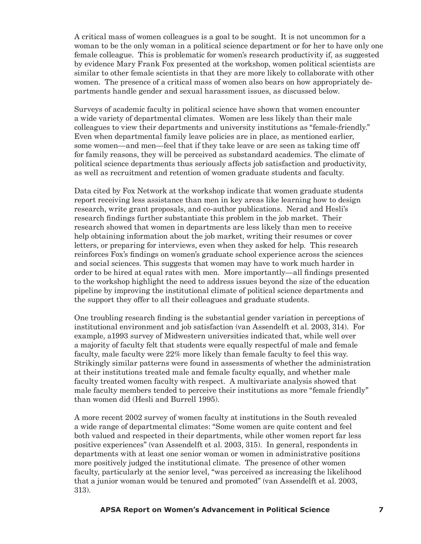A critical mass of women colleagues is a goal to be sought. It is not uncommon for a woman to be the only woman in a political science department or for her to have only one female colleague. This is problematic for women's research productivity if, as suggested by evidence Mary Frank Fox presented at the workshop, women political scientists are similar to other female scientists in that they are more likely to collaborate with other women. The presence of a critical mass of women also bears on how appropriately departments handle gender and sexual harassment issues, as discussed below.

Surveys of academic faculty in political science have shown that women encounter a wide variety of departmental climates. Women are less likely than their male colleagues to view their departments and university institutions as "female-friendly." Even when departmental family leave policies are in place, as mentioned earlier, some women—and men—feel that if they take leave or are seen as taking time off for family reasons, they will be perceived as substandard academics. The climate of political science departments thus seriously affects job satisfaction and productivity, as well as recruitment and retention of women graduate students and faculty.

Data cited by Fox Network at the workshop indicate that women graduate students report receiving less assistance than men in key areas like learning how to design research, write grant proposals, and co-author publications. Nerad and Hesli's research findings further substantiate this problem in the job market. Their research showed that women in departments are less likely than men to receive help obtaining information about the job market, writing their resumes or cover letters, or preparing for interviews, even when they asked for help. This research reinforces Fox's findings on women's graduate school experience across the sciences and social sciences. This suggests that women may have to work much harder in order to be hired at equal rates with men. More importantly—all findings presented to the workshop highlight the need to address issues beyond the size of the education pipeline by improving the institutional climate of political science departments and the support they offer to all their colleagues and graduate students.

One troubling research finding is the substantial gender variation in perceptions of institutional environment and job satisfaction (van Assendelft et al. 2003, 314). For example, a1993 survey of Midwestern universities indicated that, while well over a majority of faculty felt that students were equally respectful of male and female faculty, male faculty were 22% more likely than female faculty to feel this way. Strikingly similar patterns were found in assessments of whether the administration at their institutions treated male and female faculty equally, and whether male faculty treated women faculty with respect. A multivariate analysis showed that male faculty members tended to perceive their institutions as more "female friendly" than women did (Hesli and Burrell 1995).

A more recent 2002 survey of women faculty at institutions in the South revealed a wide range of departmental climates: "Some women are quite content and feel both valued and respected in their departments, while other women report far less positive experiences" (van Assendelft et al. 2003, 315). In general, respondents in departments with at least one senior woman or women in administrative positions more positively judged the institutional climate. The presence of other women faculty, particularly at the senior level, "was perceived as increasing the likelihood that a junior woman would be tenured and promoted" (van Assendelft et al. 2003, 313).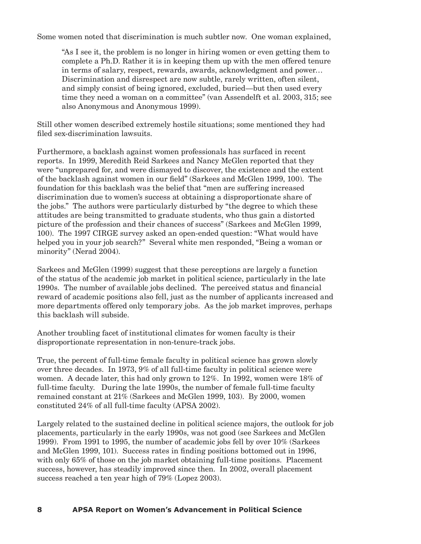Some women noted that discrimination is much subtler now. One woman explained,

"As I see it, the problem is no longer in hiring women or even getting them to complete a Ph.D. Rather it is in keeping them up with the men offered tenure in terms of salary, respect, rewards, awards, acknowledgment and power… Discrimination and disrespect are now subtle, rarely written, often silent, and simply consist of being ignored, excluded, buried—but then used every time they need a woman on a committee" (van Assendelft et al. 2003, 315; see also Anonymous and Anonymous 1999).

Still other women described extremely hostile situations; some mentioned they had filed sex-discrimination lawsuits.

Furthermore, a backlash against women professionals has surfaced in recent reports. In 1999, Meredith Reid Sarkees and Nancy McGlen reported that they were "unprepared for, and were dismayed to discover, the existence and the extent of the backlash against women in our field" (Sarkees and McGlen 1999, 100). The foundation for this backlash was the belief that "men are suffering increased discrimination due to women's success at obtaining a disproportionate share of the jobs." The authors were particularly disturbed by "the degree to which these attitudes are being transmitted to graduate students, who thus gain a distorted picture of the profession and their chances of success" (Sarkees and McGlen 1999, 100). The 1997 CIRGE survey asked an open-ended question: "What would have helped you in your job search?" Several white men responded, "Being a woman or minority" (Nerad 2004).

Sarkees and McGlen (1999) suggest that these perceptions are largely a function of the status of the academic job market in political science, particularly in the late 1990s. The number of available jobs declined. The perceived status and financial reward of academic positions also fell, just as the number of applicants increased and more departments offered only temporary jobs. As the job market improves, perhaps this backlash will subside.

Another troubling facet of institutional climates for women faculty is their disproportionate representation in non-tenure-track jobs.

True, the percent of full-time female faculty in political science has grown slowly over three decades. In 1973, 9% of all full-time faculty in political science were women. A decade later, this had only grown to 12%. In 1992, women were 18% of full-time faculty. During the late 1990s, the number of female full-time faculty remained constant at 21% (Sarkees and McGlen 1999, 103). By 2000, women constituted 24% of all full-time faculty (APSA 2002).

Largely related to the sustained decline in political science majors, the outlook for job placements, particularly in the early 1990s, was not good (see Sarkees and McGlen 1999). From 1991 to 1995, the number of academic jobs fell by over 10% (Sarkees and McGlen 1999, 101). Success rates in finding positions bottomed out in 1996, with only 65% of those on the job market obtaining full-time positions. Placement success, however, has steadily improved since then. In 2002, overall placement success reached a ten year high of 79% (Lopez 2003).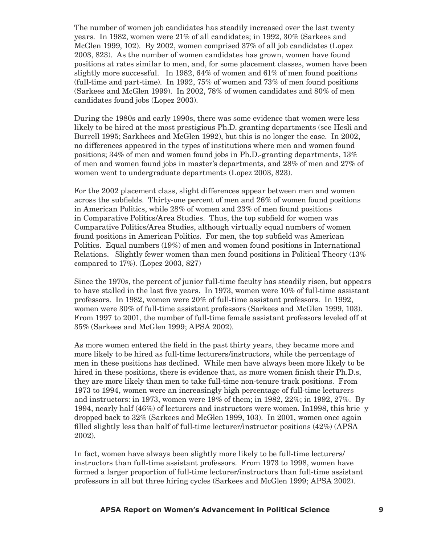The number of women job candidates has steadily increased over the last twenty years. In 1982, women were 21% of all candidates; in 1992, 30% (Sarkees and McGlen 1999, 102). By 2002, women comprised 37% of all job candidates (Lopez 2003, 823). As the number of women candidates has grown, women have found positions at rates similar to men, and, for some placement classes, women have been slightly more successful. In 1982, 64% of women and 61% of men found positions (full-time and part-time). In 1992, 75% of women and 73% of men found positions (Sarkees and McGlen 1999). In 2002, 78% of women candidates and 80% of men candidates found jobs (Lopez 2003).

During the 1980s and early 1990s, there was some evidence that women were less likely to be hired at the most prestigious Ph.D. granting departments (see Hesli and Burrell 1995; Sarkhees and McGlen 1992), but this is no longer the case. In 2002, no differences appeared in the types of institutions where men and women found positions; 34% of men and women found jobs in Ph.D.-granting departments, 13% of men and women found jobs in master's departments, and 28% of men and 27% of women went to undergraduate departments (Lopez 2003, 823).

For the 2002 placement class, slight differences appear between men and women across the subfields. Thirty-one percent of men and 26% of women found positions in American Politics, while 28% of women and 23% of men found positions in Comparative Politics/Area Studies. Thus, the top subfield for women was Comparative Politics/Area Studies, although virtually equal numbers of women found positions in American Politics. For men, the top subfield was American Politics. Equal numbers (19%) of men and women found positions in International Relations. Slightly fewer women than men found positions in Political Theory (13% compared to 17%). (Lopez 2003, 827)

Since the 1970s, the percent of junior full-time faculty has steadily risen, but appears to have stalled in the last five years. In 1973, women were 10% of full-time assistant professors. In 1982, women were 20% of full-time assistant professors. In 1992, women were 30% of full-time assistant professors (Sarkees and McGlen 1999, 103). From 1997 to 2001, the number of full-time female assistant professors leveled off at 35% (Sarkees and McGlen 1999; APSA 2002).

As more women entered the field in the past thirty years, they became more and more likely to be hired as full-time lecturers/instructors, while the percentage of men in these positions has declined. While men have always been more likely to be hired in these positions, there is evidence that, as more women finish their Ph.D.s, they are more likely than men to take full-time non-tenure track positions. From 1973 to 1994, women were an increasingly high percentage of full-time lecturers and instructors: in 1973, women were 19% of them; in 1982, 22%; in 1992, 27%. By 1994, nearly half  $(46%)$  of lecturers and instructors were women. In 1998, this briefly dropped back to 32% (Sarkees and McGlen 1999, 103). In 2001, women once again filled slightly less than half of full-time lecturer/instructor positions (42%) (APSA 2002).

In fact, women have always been slightly more likely to be full-time lecturers/ instructors than full-time assistant professors. From 1973 to 1998, women have formed a larger proportion of full-time lecturer/instructors than full-time assistant professors in all but three hiring cycles (Sarkees and McGlen 1999; APSA 2002).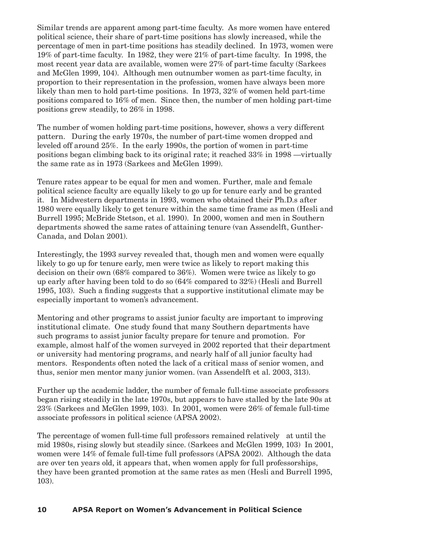Similar trends are apparent among part-time faculty. As more women have entered political science, their share of part-time positions has slowly increased, while the percentage of men in part-time positions has steadily declined. In 1973, women were 19% of part-time faculty. In 1982, they were 21% of part-time faculty. In 1998, the most recent year data are available, women were 27% of part-time faculty (Sarkees and McGlen 1999, 104). Although men outnumber women as part-time faculty, in proportion to their representation in the profession, women have always been more likely than men to hold part-time positions. In 1973, 32% of women held part-time positions compared to 16% of men. Since then, the number of men holding part-time positions grew steadily, to 26% in 1998.

The number of women holding part-time positions, however, shows a very different pattern. During the early 1970s, the number of part-time women dropped and leveled off around 25%. In the early 1990s, the portion of women in part-time positions began climbing back to its original rate; it reached 33% in 1998 —virtually the same rate as in 1973 (Sarkees and McGlen 1999).

Tenure rates appear to be equal for men and women. Further, male and female political science faculty are equally likely to go up for tenure early and be granted it. In Midwestern departments in 1993, women who obtained their Ph.D.s after 1980 were equally likely to get tenure within the same time frame as men (Hesli and Burrell 1995; McBride Stetson, et al. 1990). In 2000, women and men in Southern departments showed the same rates of attaining tenure (van Assendelft, Gunther-Canada, and Dolan 2001).

Interestingly, the 1993 survey revealed that, though men and women were equally likely to go up for tenure early, men were twice as likely to report making this decision on their own (68% compared to 36%). Women were twice as likely to go up early after having been told to do so (64% compared to 32%) (Hesli and Burrell 1995, 103). Such a finding suggests that a supportive institutional climate may be especially important to women's advancement.

Mentoring and other programs to assist junior faculty are important to improving institutional climate. One study found that many Southern departments have such programs to assist junior faculty prepare for tenure and promotion. For example, almost half of the women surveyed in 2002 reported that their department or university had mentoring programs, and nearly half of all junior faculty had mentors. Respondents often noted the lack of a critical mass of senior women, and thus, senior men mentor many junior women. (van Assendelft et al. 2003, 313).

Further up the academic ladder, the number of female full-time associate professors began rising steadily in the late 1970s, but appears to have stalled by the late 90s at 23% (Sarkees and McGlen 1999, 103). In 2001, women were 26% of female full-time associate professors in political science (APSA 2002).

The percentage of women full-time full professors remained relatively at until the mid 1980s, rising slowly but steadily since. (Sarkees and McGlen 1999, 103) In 2001, women were 14% of female full-time full professors (APSA 2002). Although the data are over ten years old, it appears that, when women apply for full professorships, they have been granted promotion at the same rates as men (Hesli and Burrell 1995, 103).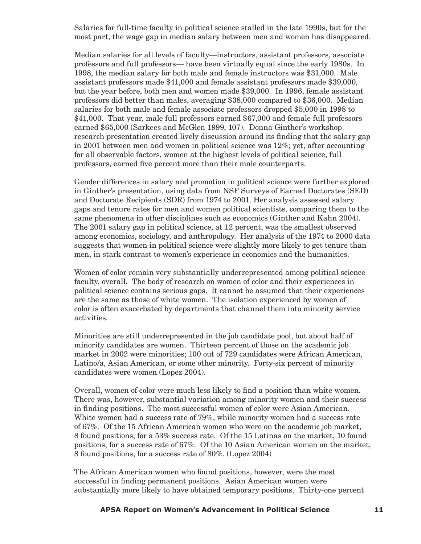Salaries for full-time faculty in political science stalled in the late 1990s, but for the most part, the wage gap in median salary between men and women has disappeared.

Median salaries for all levels of faculty—instructors, assistant professors, associate professors and full professors— have been virtually equal since the early 1980s. In 1998, the median salary for both male and female instructors was \$31,000. Male assistant professors made \$41,000 and female assistant professors made \$39,000, but the year before, both men and women made \$39,000. In 1996, female assistant professors did better than males, averaging \$38,000 compared to \$36,000. Median salaries for both male and female associate professors dropped \$5,000 in 1998 to \$41,000. That year, male full professors earned \$67,000 and female full professors earned \$65,000 (Sarkees and McGlen 1999, 107). Donna Ginther's workshop research presentation created lively discussion around its finding that the salary gap in 2001 between men and women in political science was 12%; yet, after accounting for all observable factors, women at the highest levels of political science, full professors, earned five percent more than their male counterparts.

Gender differences in salary and promotion in political science were further explored in Ginther's presentation, using data from NSF Surveys of Earned Doctorates (SED) and Doctorate Recipients (SDR) from 1974 to 2001. Her analysis assessed salary gaps and tenure rates for men and women political scientists, comparing them to the same phenomena in other disciplines such as economics (Ginther and Kahn 2004). The 2001 salary gap in political science, at 12 percent, was the smallest observed among economics, sociology, and anthropology. Her analysis of the 1974 to 2000 data suggests that women in political science were slightly more likely to get tenure than men, in stark contrast to women's experience in economics and the humanities.

Women of color remain very substantially underrepresented among political science faculty, overall. The body of research on women of color and their experiences in political science contains serious gaps. It cannot be assumed that their experiences are the same as those of white women. The isolation experienced by women of color is often exacerbated by departments that channel them into minority service activities.

Minorities are still underrepresented in the job candidate pool, but about half of minority candidates are women. Thirteen percent of those on the academic job market in 2002 were minorities; 100 out of 729 candidates were African American, Latino/a, Asian American, or some other minority. Forty-six percent of minority candidates were women (Lopez 2004).

Overall, women of color were much less likely to find a position than white women. There was, however, substantial variation among minority women and their success in finding positions. The most successful women of color were Asian American. White women had a success rate of 79%, while minority women had a success rate of 67%. Of the 15 African American women who were on the academic job market, 8 found positions, for a 53% success rate. Of the 15 Latinas on the market, 10 found positions, for a success rate of 67%. Of the 10 Asian American women on the market, 8 found positions, for a success rate of 80%. (Lopez 2004)

The African American women who found positions, however, were the most successful in finding permanent positions. Asian American women were substantially more likely to have obtained temporary positions. Thirty-one percent

#### **10 APSA Report on Women's Advancement in Political Science APSA Report on Women's Advancement in Political Science 11**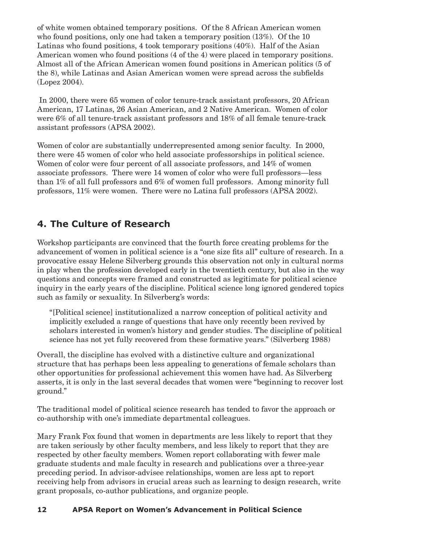of white women obtained temporary positions. Of the 8 African American women who found positions, only one had taken a temporary position (13%). Of the 10 Latinas who found positions, 4 took temporary positions (40%). Half of the Asian American women who found positions (4 of the 4) were placed in temporary positions. Almost all of the African American women found positions in American politics (5 of the 8), while Latinas and Asian American women were spread across the subfields (Lopez 2004).

 In 2000, there were 65 women of color tenure-track assistant professors, 20 African American, 17 Latinas, 26 Asian American, and 2 Native American. Women of color were 6% of all tenure-track assistant professors and 18% of all female tenure-track assistant professors (APSA 2002).

Women of color are substantially underrepresented among senior faculty. In 2000, there were 45 women of color who held associate professorships in political science. Women of color were four percent of all associate professors, and 14% of women associate professors. There were 14 women of color who were full professors—less than 1% of all full professors and 6% of women full professors. Among minority full professors, 11% were women. There were no Latina full professors (APSA 2002).

# **4. The Culture of Research**

Workshop participants are convinced that the fourth force creating problems for the advancement of women in political science is a "one size fits all" culture of research. In a provocative essay Helene Silverberg grounds this observation not only in cultural norms in play when the profession developed early in the twentieth century, but also in the way questions and concepts were framed and constructed as legitimate for political science inquiry in the early years of the discipline. Political science long ignored gendered topics such as family or sexuality. In Silverberg's words:

"[Political science] institutionalized a narrow conception of political activity and implicitly excluded a range of questions that have only recently been revived by scholars interested in women's history and gender studies. The discipline of political science has not yet fully recovered from these formative years." (Silverberg 1988)

Overall, the discipline has evolved with a distinctive culture and organizational structure that has perhaps been less appealing to generations of female scholars than other opportunities for professional achievement this women have had. As Silverberg asserts, it is only in the last several decades that women were "beginning to recover lost ground."

The traditional model of political science research has tended to favor the approach or co-authorship with one's immediate departmental colleagues.

Mary Frank Fox found that women in departments are less likely to report that they are taken seriously by other faculty members, and less likely to report that they are respected by other faculty members. Women report collaborating with fewer male graduate students and male faculty in research and publications over a three-year preceding period. In advisor-advisee relationships, women are less apt to report receiving help from advisors in crucial areas such as learning to design research, write grant proposals, co-author publications, and organize people.

# **12 APSA Report on Women's Advancement in Political Science**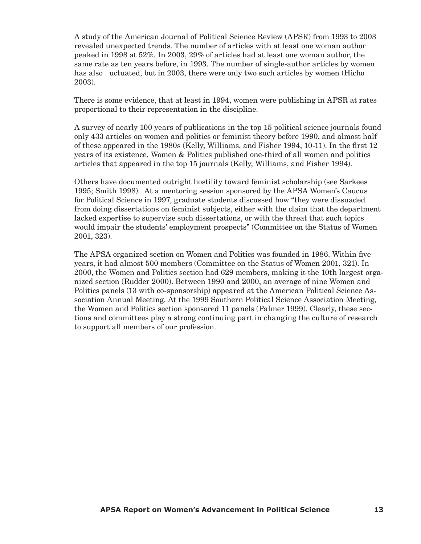A study of the American Journal of Political Science Review (APSR) from 1993 to 2003 revealed unexpected trends. The number of articles with at least one woman author peaked in 1998 at 52%. In 2003, 29% of articles had at least one woman author, the same rate as ten years before, in 1993. The number of single-author articles by women has also uctuated, but in 2003, there were only two such articles by women (Hicho 2003).

There is some evidence, that at least in 1994, women were publishing in APSR at rates proportional to their representation in the discipline.

A survey of nearly 100 years of publications in the top 15 political science journals found only 433 articles on women and politics or feminist theory before 1990, and almost half of these appeared in the 1980s (Kelly, Williams, and Fisher 1994, 10-11). In the first 12 years of its existence, Women & Politics published one-third of all women and politics articles that appeared in the top 15 journals (Kelly, Williams, and Fisher 1994).

Others have documented outright hostility toward feminist scholarship (see Sarkees 1995; Smith 1998). At a mentoring session sponsored by the APSA Women's Caucus for Political Science in 1997, graduate students discussed how "they were dissuaded from doing dissertations on feminist subjects, either with the claim that the department lacked expertise to supervise such dissertations, or with the threat that such topics would impair the students' employment prospects" (Committee on the Status of Women 2001, 323).

The APSA organized section on Women and Politics was founded in 1986. Within five years, it had almost 500 members (Committee on the Status of Women 2001, 321). In 2000, the Women and Politics section had 629 members, making it the 10th largest organized section (Rudder 2000). Between 1990 and 2000, an average of nine Women and Politics panels (13 with co-sponsorship) appeared at the American Political Science Association Annual Meeting. At the 1999 Southern Political Science Association Meeting, the Women and Politics section sponsored 11 panels (Palmer 1999). Clearly, these sections and committees play a strong continuing part in changing the culture of research to support all members of our profession.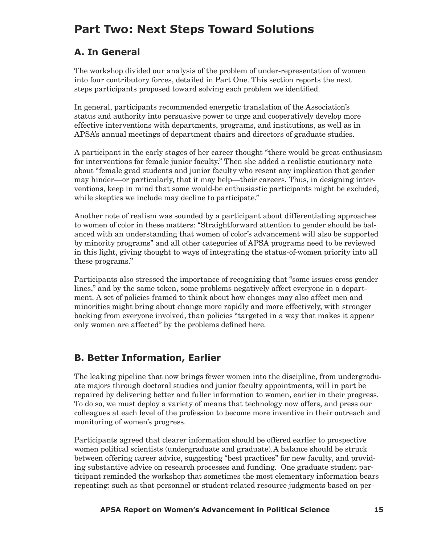# **Part Two: Next Steps Toward Solutions**

# **A. In General**

The workshop divided our analysis of the problem of under-representation of women into four contributory forces, detailed in Part One. This section reports the next steps participants proposed toward solving each problem we identified.

In general, participants recommended energetic translation of the Association's status and authority into persuasive power to urge and cooperatively develop more effective interventions with departments, programs, and institutions, as well as in APSA's annual meetings of department chairs and directors of graduate studies.

A participant in the early stages of her career thought "there would be great enthusiasm for interventions for female junior faculty." Then she added a realistic cautionary note about "female grad students and junior faculty who resent any implication that gender may hinder—or particularly, that it may help—their careers. Thus, in designing interventions, keep in mind that some would-be enthusiastic participants might be excluded, while skeptics we include may decline to participate."

Another note of realism was sounded by a participant about differentiating approaches to women of color in these matters: "Straightforward attention to gender should be balanced with an understanding that women of color's advancement will also be supported by minority programs" and all other categories of APSA programs need to be reviewed in this light, giving thought to ways of integrating the status-of-women priority into all these programs."

Participants also stressed the importance of recognizing that "some issues cross gender lines," and by the same token, some problems negatively affect everyone in a department. A set of policies framed to think about how changes may also affect men and minorities might bring about change more rapidly and more effectively, with stronger backing from everyone involved, than policies "targeted in a way that makes it appear only women are affected" by the problems defined here.

# **B. Better Information, Earlier**

The leaking pipeline that now brings fewer women into the discipline, from undergraduate majors through doctoral studies and junior faculty appointments, will in part be repaired by delivering better and fuller information to women, earlier in their progress. To do so, we must deploy a variety of means that technology now offers, and press our colleagues at each level of the profession to become more inventive in their outreach and monitoring of women's progress.

Participants agreed that clearer information should be offered earlier to prospective women political scientists (undergraduate and graduate).A balance should be struck between offering career advice, suggesting "best practices" for new faculty, and providing substantive advice on research processes and funding. One graduate student participant reminded the workshop that sometimes the most elementary information bears repeating: such as that personnel or student-related resource judgments based on per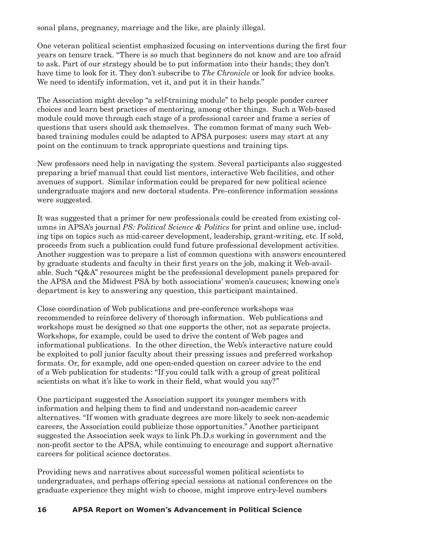sonal plans, pregnancy, marriage and the like, are plainly illegal.

One veteran political scientist emphasized focusing on interventions during the first four years on tenure track. "There is so much that beginners do not know and are too afraid to ask. Part of our strategy should be to put information into their hands; they don't have time to look for it. They don't subscribe to *The Chronicle* or look for advice books. We need to identify information, vet it, and put it in their hands."

The Association might develop "a self-training module" to help people ponder career choices and learn best practices of mentoring, among other things. Such a Web-based module could move through each stage of a professional career and frame a series of questions that users should ask themselves. The common format of many such Webbased training modules could be adapted to APSA purposes: users may start at any point on the continuum to track appropriate questions and training tips.

New professors need help in navigating the system. Several participants also suggested preparing a brief manual that could list mentors, interactive Web facilities, and other avenues of support. Similar information could be prepared for new political science undergraduate majors and new doctoral students. Pre-conference information sessions were suggested.

It was suggested that a primer for new professionals could be created from existing columns in APSA's journal *PS: Political Science & Politics* for print and online use, including tips on topics such as mid-career development, leadership, grant-writing, etc. If sold, proceeds from such a publication could fund future professional development activities. Another suggestion was to prepare a list of common questions with answers encountered by graduate students and faculty in their first years on the job, making it Web-available. Such "Q&A" resources might be the professional development panels prepared for the APSA and the Midwest PSA by both associations' women's caucuses; knowing one's department is key to answering any question, this participant maintained.

Close coordination of Web publications and pre-conference workshops was recommended to reinforce delivery of thorough information. Web publications and workshops must be designed so that one supports the other, not as separate projects. Workshops, for example, could be used to drive the content of Web pages and informational publications. In the other direction, the Web's interactive nature could be exploited to poll junior faculty about their pressing issues and preferred workshop formats. Or, for example, add one open-ended question on career advice to the end of a Web publication for students: "If you could talk with a group of great political scientists on what it's like to work in their field, what would you say?"

One participant suggested the Association support its younger members with information and helping them to find and understand non-academic career alternatives. "If women with graduate degrees are more likely to seek non-academic careers, the Association could publicize those opportunities." Another participant suggested the Association seek ways to link Ph.D.s working in government and the non-profit sector to the APSA, while continuing to encourage and support alternative careers for political science doctorates.

Providing news and narratives about successful women political scientists to undergraduates, and perhaps offering special sessions at national conferences on the graduate experience they might wish to choose, might improve entry-level numbers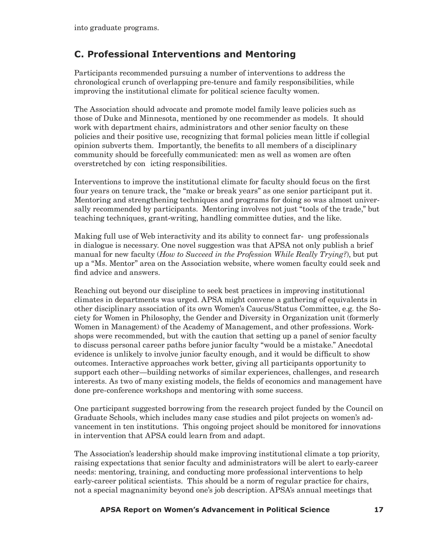# **C. Professional Interventions and Mentoring**

Participants recommended pursuing a number of interventions to address the chronological crunch of overlapping pre-tenure and family responsibilities, while improving the institutional climate for political science faculty women.

The Association should advocate and promote model family leave policies such as those of Duke and Minnesota, mentioned by one recommender as models. It should work with department chairs, administrators and other senior faculty on these policies and their positive use, recognizing that formal policies mean little if collegial opinion subverts them. Importantly, the benefits to all members of a disciplinary community should be forcefully communicated: men as well as women are often overstretched by con icting responsibilities.

Interventions to improve the institutional climate for faculty should focus on the first four years on tenure track, the "make or break years" as one senior participant put it. Mentoring and strengthening techniques and programs for doing so was almost universally recommended by participants. Mentoring involves not just "tools of the trade," but teaching techniques, grant-writing, handling committee duties, and the like.

Making full use of Web interactivity and its ability to connect far- ung professionals in dialogue is necessary. One novel suggestion was that APSA not only publish a brief manual for new faculty (*How to Succeed in the Profession While Really Trying?*), but put up a "Ms. Mentor" area on the Association website, where women faculty could seek and find advice and answers.

Reaching out beyond our discipline to seek best practices in improving institutional climates in departments was urged. APSA might convene a gathering of equivalents in other disciplinary association of its own Women's Caucus/Status Committee, e.g. the Society for Women in Philosophy, the Gender and Diversity in Organization unit (formerly Women in Management) of the Academy of Management, and other professions. Workshops were recommended, but with the caution that setting up a panel of senior faculty to discuss personal career paths before junior faculty "would be a mistake." Anecdotal evidence is unlikely to involve junior faculty enough, and it would be difficult to show outcomes. Interactive approaches work better, giving all participants opportunity to support each other—building networks of similar experiences, challenges, and research interests. As two of many existing models, the fields of economics and management have done pre-conference workshops and mentoring with some success.

One participant suggested borrowing from the research project funded by the Council on Graduate Schools, which includes many case studies and pilot projects on women's advancement in ten institutions. This ongoing project should be monitored for innovations in intervention that APSA could learn from and adapt.

The Association's leadership should make improving institutional climate a top priority, raising expectations that senior faculty and administrators will be alert to early-career needs: mentoring, training, and conducting more professional interventions to help early-career political scientists. This should be a norm of regular practice for chairs, not a special magnanimity beyond one's job description. APSA's annual meetings that

## **16 APSA Report on Women's Advancement in Political Science APSA Report on Women's Advancement in Political Science 17**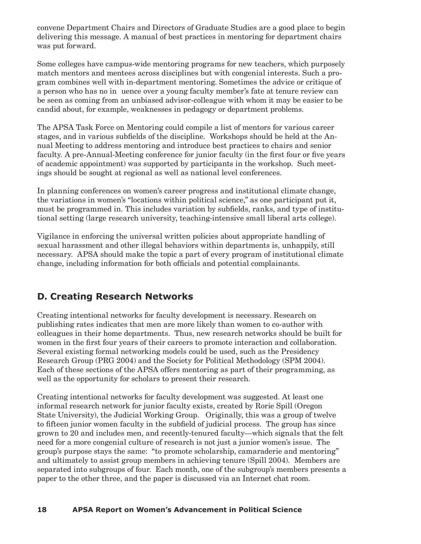convene Department Chairs and Directors of Graduate Studies are a good place to begin delivering this message. A manual of best practices in mentoring for department chairs was put forward.

Some colleges have campus-wide mentoring programs for new teachers, which purposely match mentors and mentees across disciplines but with congenial interests. Such a program combines well with in-department mentoring. Sometimes the advice or critique of a person who has no in uence over a young faculty member's fate at tenure review can be seen as coming from an unbiased advisor-colleague with whom it may be easier to be candid about, for example, weaknesses in pedagogy or department problems.

The APSA Task Force on Mentoring could compile a list of mentors for various career stages, and in various subfields of the discipline. Workshops should be held at the Annual Meeting to address mentoring and introduce best practices to chairs and senior faculty. A pre-Annual-Meeting conference for junior faculty (in the first four or five years of academic appointment) was supported by participants in the workshop. Such meetings should be sought at regional as well as national level conferences.

In planning conferences on women's career progress and institutional climate change, the variations in women's "locations within political science," as one participant put it, must be programmed in. This includes variation by subfields, ranks, and type of institutional setting (large research university, teaching-intensive small liberal arts college).

Vigilance in enforcing the universal written policies about appropriate handling of sexual harassment and other illegal behaviors within departments is, unhappily, still necessary. APSA should make the topic a part of every program of institutional climate change, including information for both officials and potential complainants.

# **D. Creating Research Networks**

Creating intentional networks for faculty development is necessary. Research on publishing rates indicates that men are more likely than women to co-author with colleagues in their home departments. Thus, new research networks should be built for women in the first four years of their careers to promote interaction and collaboration. Several existing formal networking models could be used, such as the Presidency Research Group (PRG 2004) and the Society for Political Methodology (SPM 2004). Each of these sections of the APSA offers mentoring as part of their programming, as well as the opportunity for scholars to present their research.

Creating intentional networks for faculty development was suggested. At least one informal research network for junior faculty exists, created by Rorie Spill (Oregon State University), the Judicial Working Group. Originally, this was a group of twelve to fifteen junior women faculty in the subfield of judicial process. The group has since grown to 20 and includes men, and recently-tenured faculty—which signals that the felt need for a more congenial culture of research is not just a junior women's issue. The group's purpose stays the same: "to promote scholarship, camaraderie and mentoring" and ultimately to assist group members in achieving tenure (Spill 2004). Members are separated into subgroups of four. Each month, one of the subgroup's members presents a paper to the other three, and the paper is discussed via an Internet chat room.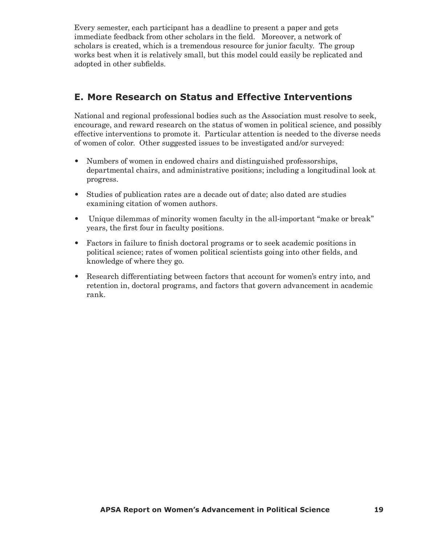Every semester, each participant has a deadline to present a paper and gets immediate feedback from other scholars in the field. Moreover, a network of scholars is created, which is a tremendous resource for junior faculty. The group works best when it is relatively small, but this model could easily be replicated and adopted in other subfields.

# **E. More Research on Status and Effective Interventions**

National and regional professional bodies such as the Association must resolve to seek, encourage, and reward research on the status of women in political science, and possibly effective interventions to promote it. Particular attention is needed to the diverse needs of women of color. Other suggested issues to be investigated and/or surveyed:

- Numbers of women in endowed chairs and distinguished professorships, departmental chairs, and administrative positions; including a longitudinal look at progress.
- Studies of publication rates are a decade out of date; also dated are studies examining citation of women authors.
- Unique dilemmas of minority women faculty in the all-important "make or break" years, the first four in faculty positions.
- Factors in failure to finish doctoral programs or to seek academic positions in political science; rates of women political scientists going into other fields, and knowledge of where they go.
- Research differentiating between factors that account for women's entry into, and retention in, doctoral programs, and factors that govern advancement in academic rank.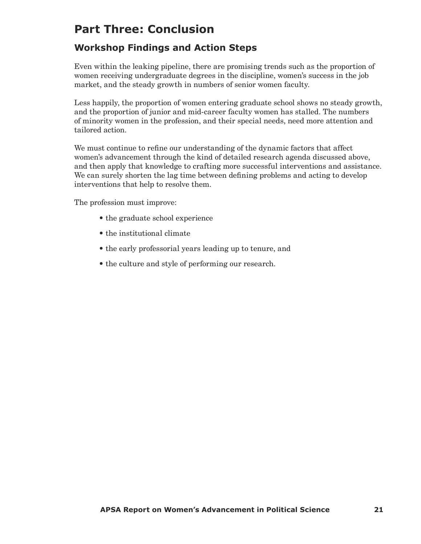# **Part Three: Conclusion**

# **Workshop Findings and Action Steps**

Even within the leaking pipeline, there are promising trends such as the proportion of women receiving undergraduate degrees in the discipline, women's success in the job market, and the steady growth in numbers of senior women faculty.

Less happily, the proportion of women entering graduate school shows no steady growth, and the proportion of junior and mid-career faculty women has stalled. The numbers of minority women in the profession, and their special needs, need more attention and tailored action.

We must continue to refine our understanding of the dynamic factors that affect women's advancement through the kind of detailed research agenda discussed above, and then apply that knowledge to crafting more successful interventions and assistance. We can surely shorten the lag time between defining problems and acting to develop interventions that help to resolve them.

The profession must improve:

- the graduate school experience
- the institutional climate
- the early professorial years leading up to tenure, and
- the culture and style of performing our research.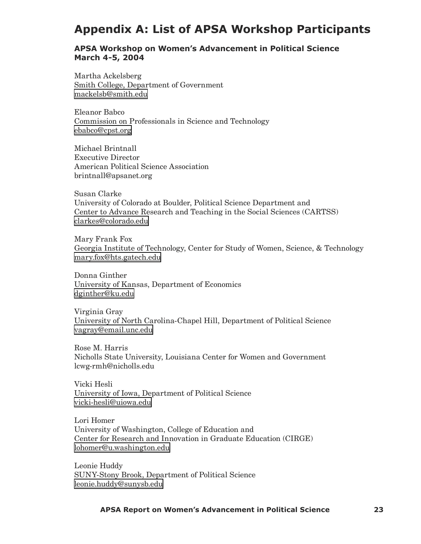# **Appendix A: List of APSA Workshop Participants**

#### **APSA Workshop on Women's Advancement in Political Science March 4-5, 2004**

Martha Ackelsberg Smith College, Department of Government [mackelsb@smith.edu](mailto:mackelsb@smith.edu)

Eleanor Babco Commission on Professionals in Science and Technology [ebabco@cpst.org](mailto:ebabco@cpst.org)

Michael Brintnall Executive Director American Political Science Association brintnall@apsanet.org

Susan Clarke University of Colorado at Boulder, Political Science Department and Center to Advance Research and Teaching in the Social Sciences (CARTSS) [clarkes@colorado.edu](mailto:clarkes@colorado.edu)

Mary Frank Fox Georgia Institute of Technology, Center for Study of Women, Science, & Technology [mary.fox@hts.gatech.edu](mailto:mary.fox@hts.gatech.edu)

Donna Ginther University of Kansas, Department of Economics [dginther@ku.edu](mailto:dginther@ku.edu)

Virginia Gray University of North Carolina-Chapel Hill, Department of Political Science [vagray@email.unc.edu](mailto:vagray@email.unc.edu)

Rose M. Harris Nicholls State University, Louisiana Center for Women and Government lcwg-rmh@nicholls.edu

Vicki Hesli University of Iowa, Department of Political Science [vicki-hesli@uiowa.edu](mailto:vicki-hesli@uiowa.edu)

Lori Homer University of Washington, College of Education and Center for Research and Innovation in Graduate Education (CIRGE) [lohomer@u.washington.edu](mailto:lohomer@u.washington.edu)

Leonie Huddy SUNY-Stony Brook, Department of Political Science [leonie.huddy@sunysb.edu](mailto:leonie.huddy@sunysb.edu)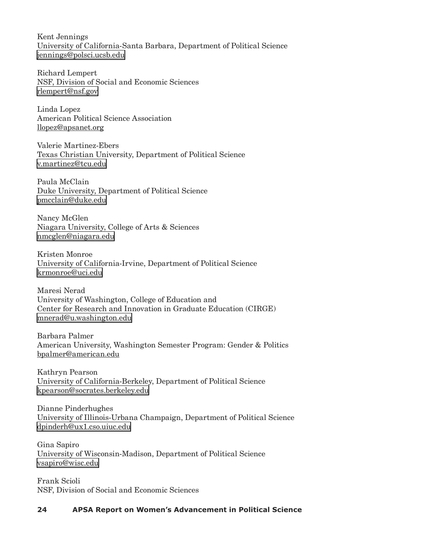Kent Jennings University of California-Santa Barbara, Department of Political Science [jennings@polsci.ucsb.edu](mailto:jennings@polsci.ucsb.edu)

Richard Lempert NSF, Division of Social and Economic Sciences [rlempert@nsf.gov](mailto:rlempert@nsf.gov)

Linda Lopez American Political Science Association llopez@apsanet.org

Valerie Martinez-Ebers Texas Christian University, Department of Political Science [v.martinez@tcu.edu](mailto:v.martinez@tcu.edu)

Paula McClain Duke University, Department of Political Science [pmcclain@duke.edu](mailto:pmcclain@duke.edu)

Nancy McGlen Niagara University, College of Arts & Sciences [nmcglen@niagara.edu](mailto:nmcglen@niagara.edu)

Kristen Monroe University of California-Irvine, Department of Political Science [krmonroe@uci.edu](mailto:krmonroe@uci.edu)

Maresi Nerad University of Washington, College of Education and Center for Research and Innovation in Graduate Education (CIRGE) [mnerad@u.washington.edu](mailto:mnerad@u.washington.edu)

Barbara Palmer American University, Washington Semester Program: Gender & Politics bpalmer@american.edu

Kathryn Pearson University of California-Berkeley, Department of Political Science [kpearson@socrates.berkeley.edu](mailto:kpearson@socrates.berkeley.edu)

Dianne Pinderhughes University of Illinois-Urbana Champaign, Department of Political Science [dpinderh@ux1.cso.uiuc.edu](mailto:dpinderh@ux1.cso.uiuc.edu)

Gina Sapiro University of Wisconsin-Madison, Department of Political Science [vsapiro@wisc.edu](mailto:vsapiro@wisc.edu)

Frank Scioli NSF, Division of Social and Economic Sciences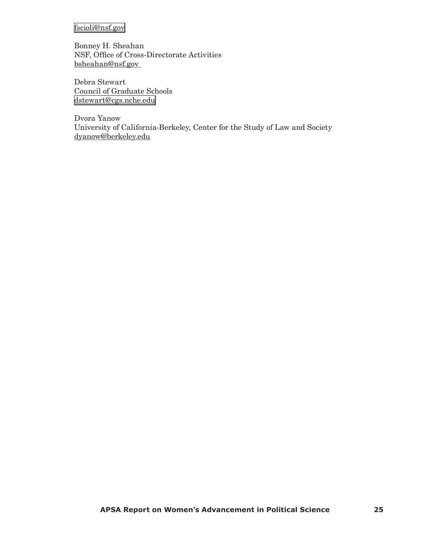# [fscioli@nsf.gov](mailto:fscioli@nsf.gov)

Bonney H. Sheahan NSF, Office of Cross-Directorate Activities bsheahan@nsf.gov

Debra Stewart Council of Graduate Schools [dstewart@cgs.nche.edu](mailto:dstewart@cgs.nche.edu)

Dvora Yanow University of California-Berkeley, Center for the Study of Law and Society dyanow@berkeley.edu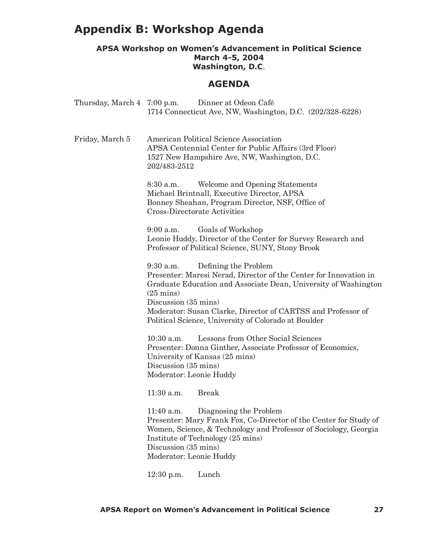# **Appendix B: Workshop Agenda**

## **APSA Workshop on Women's Advancement in Political Science March 4-5, 2004 Washington, D.C**.

# **AGENDA**

| Thursday, March 4 7:00 p.m. | Dinner at Odeon Café<br>1714 Connecticut Ave, NW, Washington, D.C. (202/328-6228)                                                                                                                                                                                                                                                                  |
|-----------------------------|----------------------------------------------------------------------------------------------------------------------------------------------------------------------------------------------------------------------------------------------------------------------------------------------------------------------------------------------------|
| Friday, March 5             | American Political Science Association<br>APSA Centennial Center for Public Affairs (3rd Floor)<br>1527 New Hampshire Ave, NW, Washington, D.C.<br>202/483-2512                                                                                                                                                                                    |
|                             | Welcome and Opening Statements<br>$8:30$ a.m.<br>Michael Brintnall, Executive Director, APSA<br>Bonney Sheahan, Program Director, NSF, Office of<br><b>Cross-Directorate Activities</b>                                                                                                                                                            |
|                             | Goals of Workshop<br>$9:00$ a.m.<br>Leonie Huddy, Director of the Center for Survey Research and<br>Professor of Political Science, SUNY, Stony Brook                                                                                                                                                                                              |
|                             | Defining the Problem<br>$9:30$ a.m.<br>Presenter: Maresi Nerad, Director of the Center for Innovation in<br>Graduate Education and Associate Dean, University of Washington<br>$(25 \text{ mins})$<br>Discussion (35 mins)<br>Moderator: Susan Clarke, Director of CARTSS and Professor of<br>Political Science, University of Colorado at Boulder |
|                             | Lessons from Other Social Sciences<br>$10:30$ a.m.<br>Presenter: Donna Ginther, Associate Professor of Economics,<br>University of Kansas (25 mins)<br>Discussion (35 mins)<br>Moderator: Leonie Huddy<br>$11:30$ a.m.<br><b>Break</b>                                                                                                             |
|                             | 11:40 a.m.<br>Diagnosing the Problem<br>Presenter: Mary Frank Fox, Co-Director of the Center for Study of<br>Women, Science, & Technology and Professor of Sociology, Georgia<br>Institute of Technology (25 mins)<br>Discussion (35 mins)<br>Moderator: Leonie Huddy                                                                              |
|                             | Lunch<br>$12:30$ p.m.                                                                                                                                                                                                                                                                                                                              |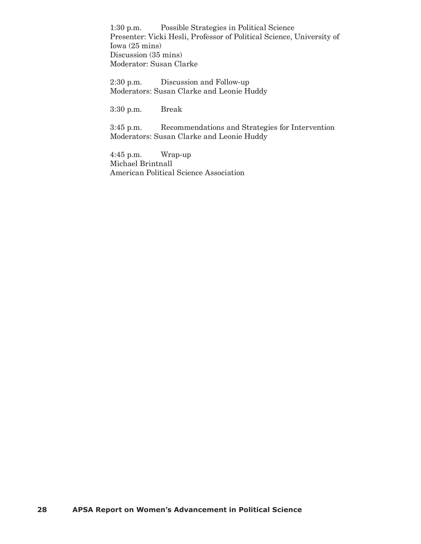1:30 p.m. Possible Strategies in Political Science Presenter: Vicki Hesli, Professor of Political Science, University of Iowa (25 mins) Discussion (35 mins) Moderator: Susan Clarke

2:30 p.m. Discussion and Follow-up Moderators: Susan Clarke and Leonie Huddy

3:30 p.m. Break

3:45 p.m. Recommendations and Strategies for Intervention Moderators: Susan Clarke and Leonie Huddy

4:45 p.m. Wrap-up Michael Brintnall American Political Science Association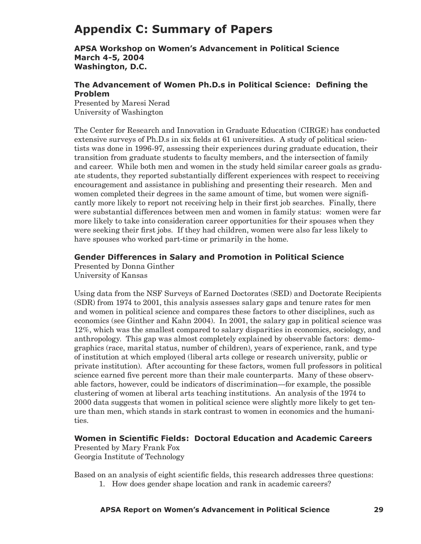# **Appendix C: Summary of Papers**

**APSA Workshop on Women's Advancement in Political Science March 4-5, 2004 Washington, D.C.**

## **The Advancement of Women Ph.D.s in Political Science: Defining the Problem**

Presented by Maresi Nerad University of Washington

The Center for Research and Innovation in Graduate Education (CIRGE) has conducted extensive surveys of Ph.D.s in six fields at 61 universities. A study of political scientists was done in 1996-97, assessing their experiences during graduate education, their transition from graduate students to faculty members, and the intersection of family and career. While both men and women in the study held similar career goals as graduate students, they reported substantially different experiences with respect to receiving encouragement and assistance in publishing and presenting their research. Men and women completed their degrees in the same amount of time, but women were significantly more likely to report not receiving help in their first job searches. Finally, there were substantial differences between men and women in family status: women were far more likely to take into consideration career opportunities for their spouses when they were seeking their first jobs. If they had children, women were also far less likely to have spouses who worked part-time or primarily in the home.

# **Gender Differences in Salary and Promotion in Political Science**

Presented by Donna Ginther University of Kansas

Using data from the NSF Surveys of Earned Doctorates (SED) and Doctorate Recipients (SDR) from 1974 to 2001, this analysis assesses salary gaps and tenure rates for men and women in political science and compares these factors to other disciplines, such as economics (see Ginther and Kahn 2004). In 2001, the salary gap in political science was 12%, which was the smallest compared to salary disparities in economics, sociology, and anthropology. This gap was almost completely explained by observable factors: demographics (race, marital status, number of children), years of experience, rank, and type of institution at which employed (liberal arts college or research university, public or private institution). After accounting for these factors, women full professors in political science earned five percent more than their male counterparts. Many of these observable factors, however, could be indicators of discrimination—for example, the possible clustering of women at liberal arts teaching institutions. An analysis of the 1974 to 2000 data suggests that women in political science were slightly more likely to get tenure than men, which stands in stark contrast to women in economics and the humanities.

# **Women in Scientific Fields: Doctoral Education and Academic Careers**

Presented by Mary Frank Fox Georgia Institute of Technology

Based on an analysis of eight scientific fields, this research addresses three questions:

1. How does gender shape location and rank in academic careers?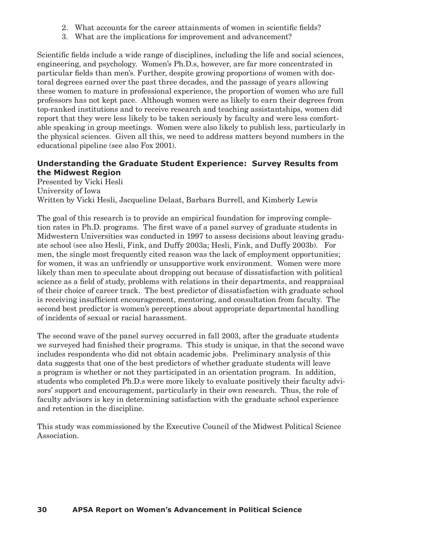- 2. What accounts for the career attainments of women in scientific fields?
- 3. What are the implications for improvement and advancement?

Scientific fields include a wide range of disciplines, including the life and social sciences, engineering, and psychology. Women's Ph.D.s, however, are far more concentrated in particular fields than men's. Further, despite growing proportions of women with doctoral degrees earned over the past three decades, and the passage of years allowing these women to mature in professional experience, the proportion of women who are full professors has not kept pace. Although women were as likely to earn their degrees from top-ranked institutions and to receive research and teaching assistantships, women did report that they were less likely to be taken seriously by faculty and were less comfortable speaking in group meetings. Women were also likely to publish less, particularly in the physical sciences. Given all this, we need to address matters beyond numbers in the educational pipeline (see also Fox 2001).

## **Understanding the Graduate Student Experience: Survey Results from the Midwest Region**

Presented by Vicki Hesli University of Iowa Written by Vicki Hesli, Jacqueline Delaat, Barbara Burrell, and Kimberly Lewis

The goal of this research is to provide an empirical foundation for improving completion rates in Ph.D. programs. The first wave of a panel survey of graduate students in Midwestern Universities was conducted in 1997 to assess decisions about leaving graduate school (see also Hesli, Fink, and Duffy 2003a; Hesli, Fink, and Duffy 2003b). For men, the single most frequently cited reason was the lack of employment opportunities; for women, it was an unfriendly or unsupportive work environment. Women were more likely than men to speculate about dropping out because of dissatisfaction with political science as a field of study, problems with relations in their departments, and reappraisal of their choice of career track. The best predictor of dissatisfaction with graduate school is receiving insufficient encouragement, mentoring, and consultation from faculty. The second best predictor is women's perceptions about appropriate departmental handling of incidents of sexual or racial harassment.

The second wave of the panel survey occurred in fall 2003, after the graduate students we surveyed had finished their programs. This study is unique, in that the second wave includes respondents who did not obtain academic jobs. Preliminary analysis of this data suggests that one of the best predictors of whether graduate students will leave a program is whether or not they participated in an orientation program. In addition, students who completed Ph.D.s were more likely to evaluate positively their faculty advisors' support and encouragement, particularly in their own research. Thus, the role of faculty advisors is key in determining satisfaction with the graduate school experience and retention in the discipline.

This study was commissioned by the Executive Council of the Midwest Political Science Association.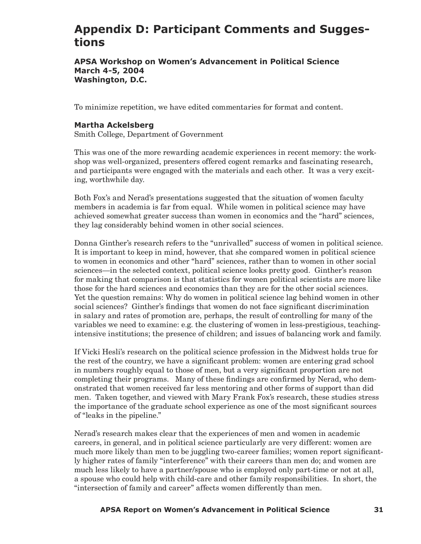# **Appendix D: Participant Comments and Suggestions**

#### **APSA Workshop on Women's Advancement in Political Science March 4-5, 2004 Washington, D.C.**

To minimize repetition, we have edited commentaries for format and content.

## **Martha Ackelsberg**

Smith College, Department of Government

This was one of the more rewarding academic experiences in recent memory: the workshop was well-organized, presenters offered cogent remarks and fascinating research, and participants were engaged with the materials and each other. It was a very exciting, worthwhile day.

Both Fox's and Nerad's presentations suggested that the situation of women faculty members in academia is far from equal. While women in political science may have achieved somewhat greater success than women in economics and the "hard" sciences, they lag considerably behind women in other social sciences.

Donna Ginther's research refers to the "unrivalled" success of women in political science. It is important to keep in mind, however, that she compared women in political science to women in economics and other "hard" sciences, rather than to women in other social sciences—in the selected context, political science looks pretty good. Ginther's reason for making that comparison is that statistics for women political scientists are more like those for the hard sciences and economics than they are for the other social sciences. Yet the question remains: Why do women in political science lag behind women in other social sciences? Ginther's findings that women do not face significant discrimination in salary and rates of promotion are, perhaps, the result of controlling for many of the variables we need to examine: e.g. the clustering of women in less-prestigious, teachingintensive institutions; the presence of children; and issues of balancing work and family.

If Vicki Hesli's research on the political science profession in the Midwest holds true for the rest of the country, we have a significant problem: women are entering grad school in numbers roughly equal to those of men, but a very significant proportion are not completing their programs. Many of these findings are confirmed by Nerad, who demonstrated that women received far less mentoring and other forms of support than did men. Taken together, and viewed with Mary Frank Fox's research, these studies stress the importance of the graduate school experience as one of the most significant sources of "leaks in the pipeline."

Nerad's research makes clear that the experiences of men and women in academic careers, in general, and in political science particularly are very different: women are much more likely than men to be juggling two-career families; women report significantly higher rates of family "interference" with their careers than men do; and women are much less likely to have a partner/spouse who is employed only part-time or not at all, a spouse who could help with child-care and other family responsibilities. In short, the "intersection of family and career" affects women differently than men.

#### **30 APSA Report on Women's Advancement in Political Science APSA Report on Women's Advancement in Political Science 31**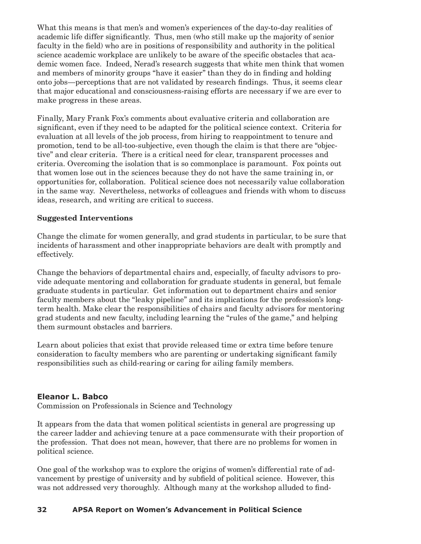What this means is that men's and women's experiences of the day-to-day realities of academic life differ significantly. Thus, men (who still make up the majority of senior faculty in the field) who are in positions of responsibility and authority in the political science academic workplace are unlikely to be aware of the specific obstacles that academic women face. Indeed, Nerad's research suggests that white men think that women and members of minority groups "have it easier" than they do in finding and holding onto jobs—perceptions that are not validated by research findings. Thus, it seems clear that major educational and consciousness-raising efforts are necessary if we are ever to make progress in these areas.

Finally, Mary Frank Fox's comments about evaluative criteria and collaboration are significant, even if they need to be adapted for the political science context. Criteria for evaluation at all levels of the job process, from hiring to reappointment to tenure and promotion, tend to be all-too-subjective, even though the claim is that there are "objective" and clear criteria. There is a critical need for clear, transparent processes and criteria. Overcoming the isolation that is so commonplace is paramount. Fox points out that women lose out in the sciences because they do not have the same training in, or opportunities for, collaboration. Political science does not necessarily value collaboration in the same way. Nevertheless, networks of colleagues and friends with whom to discuss ideas, research, and writing are critical to success.

## **Suggested Interventions**

Change the climate for women generally, and grad students in particular, to be sure that incidents of harassment and other inappropriate behaviors are dealt with promptly and effectively.

Change the behaviors of departmental chairs and, especially, of faculty advisors to provide adequate mentoring and collaboration for graduate students in general, but female graduate students in particular. Get information out to department chairs and senior faculty members about the "leaky pipeline" and its implications for the profession's longterm health. Make clear the responsibilities of chairs and faculty advisors for mentoring grad students and new faculty, including learning the "rules of the game," and helping them surmount obstacles and barriers.

Learn about policies that exist that provide released time or extra time before tenure consideration to faculty members who are parenting or undertaking significant family responsibilities such as child-rearing or caring for ailing family members.

## **Eleanor L. Babco**

Commission on Professionals in Science and Technology

It appears from the data that women political scientists in general are progressing up the career ladder and achieving tenure at a pace commensurate with their proportion of the profession. That does not mean, however, that there are no problems for women in political science.

One goal of the workshop was to explore the origins of women's differential rate of advancement by prestige of university and by subfield of political science. However, this was not addressed very thoroughly. Although many at the workshop alluded to find-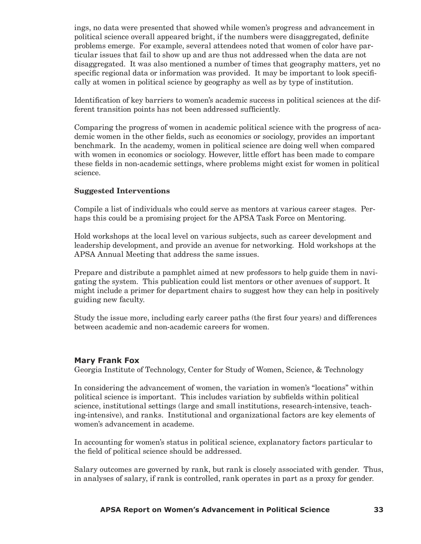ings, no data were presented that showed while women's progress and advancement in political science overall appeared bright, if the numbers were disaggregated, definite problems emerge. For example, several attendees noted that women of color have particular issues that fail to show up and are thus not addressed when the data are not disaggregated. It was also mentioned a number of times that geography matters, yet no specific regional data or information was provided. It may be important to look specifically at women in political science by geography as well as by type of institution.

Identification of key barriers to women's academic success in political sciences at the different transition points has not been addressed sufficiently.

Comparing the progress of women in academic political science with the progress of academic women in the other fields, such as economics or sociology, provides an important benchmark. In the academy, women in political science are doing well when compared with women in economics or sociology. However, little effort has been made to compare these fields in non-academic settings, where problems might exist for women in political science.

## **Suggested Interventions**

Compile a list of individuals who could serve as mentors at various career stages. Perhaps this could be a promising project for the APSA Task Force on Mentoring.

Hold workshops at the local level on various subjects, such as career development and leadership development, and provide an avenue for networking. Hold workshops at the APSA Annual Meeting that address the same issues.

Prepare and distribute a pamphlet aimed at new professors to help guide them in navigating the system. This publication could list mentors or other avenues of support. It might include a primer for department chairs to suggest how they can help in positively guiding new faculty.

Study the issue more, including early career paths (the first four years) and differences between academic and non-academic careers for women.

#### **Mary Frank Fox**

Georgia Institute of Technology, Center for Study of Women, Science, & Technology

In considering the advancement of women, the variation in women's "locations" within political science is important. This includes variation by subfields within political science, institutional settings (large and small institutions, research-intensive, teaching-intensive), and ranks. Institutional and organizational factors are key elements of women's advancement in academe.

In accounting for women's status in political science, explanatory factors particular to the field of political science should be addressed.

Salary outcomes are governed by rank, but rank is closely associated with gender. Thus, in analyses of salary, if rank is controlled, rank operates in part as a proxy for gender.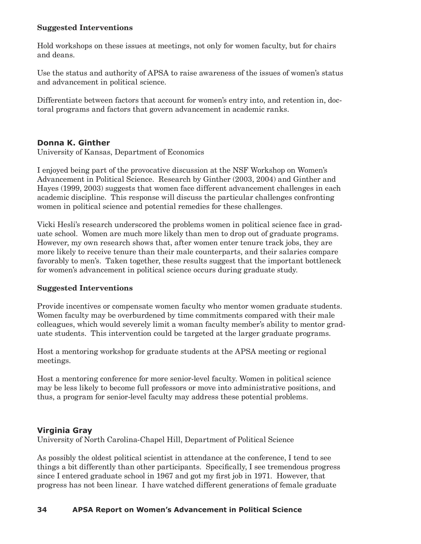#### **Suggested Interventions**

Hold workshops on these issues at meetings, not only for women faculty, but for chairs and deans.

Use the status and authority of APSA to raise awareness of the issues of women's status and advancement in political science.

Differentiate between factors that account for women's entry into, and retention in, doctoral programs and factors that govern advancement in academic ranks.

## **Donna K. Ginther**

University of Kansas, Department of Economics

I enjoyed being part of the provocative discussion at the NSF Workshop on Women's Advancement in Political Science. Research by Ginther (2003, 2004) and Ginther and Hayes (1999, 2003) suggests that women face different advancement challenges in each academic discipline. This response will discuss the particular challenges confronting women in political science and potential remedies for these challenges.

Vicki Hesli's research underscored the problems women in political science face in graduate school. Women are much more likely than men to drop out of graduate programs. However, my own research shows that, after women enter tenure track jobs, they are more likely to receive tenure than their male counterparts, and their salaries compare favorably to men's. Taken together, these results suggest that the important bottleneck for women's advancement in political science occurs during graduate study.

## **Suggested Interventions**

Provide incentives or compensate women faculty who mentor women graduate students. Women faculty may be overburdened by time commitments compared with their male colleagues, which would severely limit a woman faculty member's ability to mentor graduate students. This intervention could be targeted at the larger graduate programs.

Host a mentoring workshop for graduate students at the APSA meeting or regional meetings.

Host a mentoring conference for more senior-level faculty. Women in political science may be less likely to become full professors or move into administrative positions, and thus, a program for senior-level faculty may address these potential problems.

## **Virginia Gray**

University of North Carolina-Chapel Hill, Department of Political Science

As possibly the oldest political scientist in attendance at the conference, I tend to see things a bit differently than other participants. Specifically, I see tremendous progress since I entered graduate school in 1967 and got my first job in 1971. However, that progress has not been linear. I have watched different generations of female graduate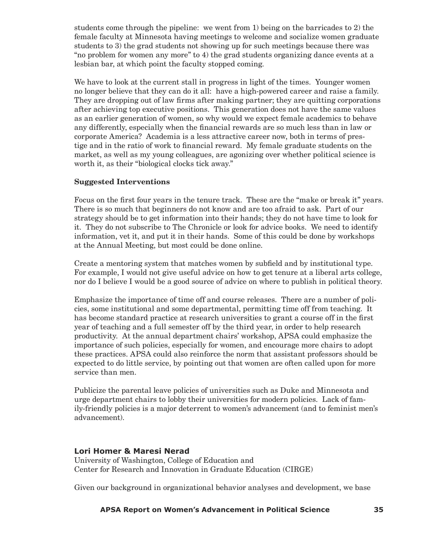students come through the pipeline: we went from 1) being on the barricades to 2) the female faculty at Minnesota having meetings to welcome and socialize women graduate students to 3) the grad students not showing up for such meetings because there was "no problem for women any more" to 4) the grad students organizing dance events at a lesbian bar, at which point the faculty stopped coming.

We have to look at the current stall in progress in light of the times. Younger women no longer believe that they can do it all: have a high-powered career and raise a family. They are dropping out of law firms after making partner; they are quitting corporations after achieving top executive positions. This generation does not have the same values as an earlier generation of women, so why would we expect female academics to behave any differently, especially when the financial rewards are so much less than in law or corporate America? Academia is a less attractive career now, both in terms of prestige and in the ratio of work to financial reward. My female graduate students on the market, as well as my young colleagues, are agonizing over whether political science is worth it, as their "biological clocks tick away."

#### **Suggested Interventions**

Focus on the first four years in the tenure track. These are the "make or break it" years. There is so much that beginners do not know and are too afraid to ask. Part of our strategy should be to get information into their hands; they do not have time to look for it. They do not subscribe to The Chronicle or look for advice books. We need to identify information, vet it, and put it in their hands. Some of this could be done by workshops at the Annual Meeting, but most could be done online.

Create a mentoring system that matches women by subfield and by institutional type. For example, I would not give useful advice on how to get tenure at a liberal arts college, nor do I believe I would be a good source of advice on where to publish in political theory.

Emphasize the importance of time off and course releases. There are a number of policies, some institutional and some departmental, permitting time off from teaching. It has become standard practice at research universities to grant a course off in the first year of teaching and a full semester off by the third year, in order to help research productivity. At the annual department chairs' workshop, APSA could emphasize the importance of such policies, especially for women, and encourage more chairs to adopt these practices. APSA could also reinforce the norm that assistant professors should be expected to do little service, by pointing out that women are often called upon for more service than men.

Publicize the parental leave policies of universities such as Duke and Minnesota and urge department chairs to lobby their universities for modern policies. Lack of family-friendly policies is a major deterrent to women's advancement (and to feminist men's advancement).

## **Lori Homer & Maresi Nerad**

University of Washington, College of Education and Center for Research and Innovation in Graduate Education (CIRGE)

Given our background in organizational behavior analyses and development, we base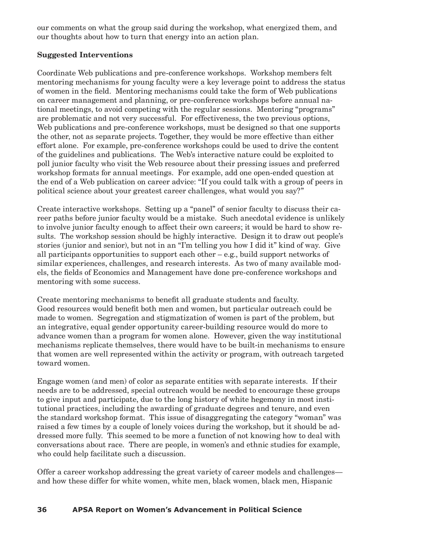our comments on what the group said during the workshop, what energized them, and our thoughts about how to turn that energy into an action plan.

## **Suggested Interventions**

Coordinate Web publications and pre-conference workshops. Workshop members felt mentoring mechanisms for young faculty were a key leverage point to address the status of women in the field. Mentoring mechanisms could take the form of Web publications on career management and planning, or pre-conference workshops before annual national meetings, to avoid competing with the regular sessions. Mentoring "programs" are problematic and not very successful. For effectiveness, the two previous options, Web publications and pre-conference workshops, must be designed so that one supports the other, not as separate projects. Together, they would be more effective than either effort alone. For example, pre-conference workshops could be used to drive the content of the guidelines and publications. The Web's interactive nature could be exploited to poll junior faculty who visit the Web resource about their pressing issues and preferred workshop formats for annual meetings. For example, add one open-ended question at the end of a Web publication on career advice: "If you could talk with a group of peers in political science about your greatest career challenges, what would you say?"

Create interactive workshops. Setting up a "panel" of senior faculty to discuss their career paths before junior faculty would be a mistake. Such anecdotal evidence is unlikely to involve junior faculty enough to affect their own careers; it would be hard to show results. The workshop session should be highly interactive. Design it to draw out people's stories (junior and senior), but not in an "I'm telling you how I did it" kind of way. Give all participants opportunities to support each other – e.g., build support networks of similar experiences, challenges, and research interests. As two of many available models, the fields of Economics and Management have done pre-conference workshops and mentoring with some success.

Create mentoring mechanisms to benefit all graduate students and faculty. Good resources would benefit both men and women, but particular outreach could be made to women. Segregation and stigmatization of women is part of the problem, but an integrative, equal gender opportunity career-building resource would do more to advance women than a program for women alone. However, given the way institutional mechanisms replicate themselves, there would have to be built-in mechanisms to ensure that women are well represented within the activity or program, with outreach targeted toward women.

Engage women (and men) of color as separate entities with separate interests. If their needs are to be addressed, special outreach would be needed to encourage these groups to give input and participate, due to the long history of white hegemony in most institutional practices, including the awarding of graduate degrees and tenure, and even the standard workshop format. This issue of disaggregating the category "woman" was raised a few times by a couple of lonely voices during the workshop, but it should be addressed more fully. This seemed to be more a function of not knowing how to deal with conversations about race. There are people, in women's and ethnic studies for example, who could help facilitate such a discussion.

Offer a career workshop addressing the great variety of career models and challenges and how these differ for white women, white men, black women, black men, Hispanic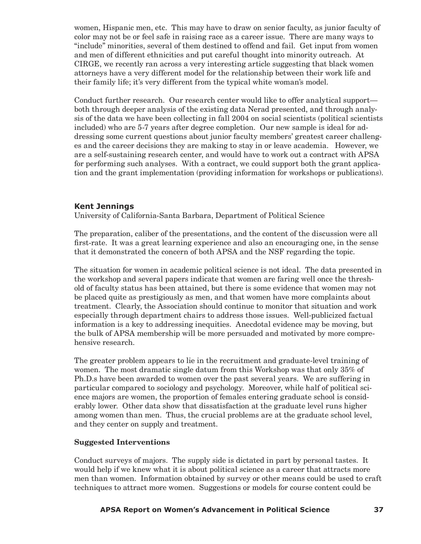women, Hispanic men, etc. This may have to draw on senior faculty, as junior faculty of color may not be or feel safe in raising race as a career issue. There are many ways to "include" minorities, several of them destined to offend and fail. Get input from women and men of different ethnicities and put careful thought into minority outreach. At CIRGE, we recently ran across a very interesting article suggesting that black women attorneys have a very different model for the relationship between their work life and their family life; it's very different from the typical white woman's model.

Conduct further research. Our research center would like to offer analytical support both through deeper analysis of the existing data Nerad presented, and through analysis of the data we have been collecting in fall 2004 on social scientists (political scientists included) who are 5-7 years after degree completion. Our new sample is ideal for addressing some current questions about junior faculty members' greatest career challenges and the career decisions they are making to stay in or leave academia. However, we are a self-sustaining research center, and would have to work out a contract with APSA for performing such analyses. With a contract, we could support both the grant application and the grant implementation (providing information for workshops or publications).

## **Kent Jennings**

University of California-Santa Barbara, Department of Political Science

The preparation, caliber of the presentations, and the content of the discussion were all first-rate. It was a great learning experience and also an encouraging one, in the sense that it demonstrated the concern of both APSA and the NSF regarding the topic.

The situation for women in academic political science is not ideal. The data presented in the workshop and several papers indicate that women are faring well once the threshold of faculty status has been attained, but there is some evidence that women may not be placed quite as prestigiously as men, and that women have more complaints about treatment. Clearly, the Association should continue to monitor that situation and work especially through department chairs to address those issues. Well-publicized factual information is a key to addressing inequities. Anecdotal evidence may be moving, but the bulk of APSA membership will be more persuaded and motivated by more comprehensive research.

The greater problem appears to lie in the recruitment and graduate-level training of women. The most dramatic single datum from this Workshop was that only 35% of Ph.D.s have been awarded to women over the past several years. We are suffering in particular compared to sociology and psychology. Moreover, while half of political science majors are women, the proportion of females entering graduate school is considerably lower. Other data show that dissatisfaction at the graduate level runs higher among women than men. Thus, the crucial problems are at the graduate school level, and they center on supply and treatment.

## **Suggested Interventions**

Conduct surveys of majors. The supply side is dictated in part by personal tastes. It would help if we knew what it is about political science as a career that attracts more men than women. Information obtained by survey or other means could be used to craft techniques to attract more women. Suggestions or models for course content could be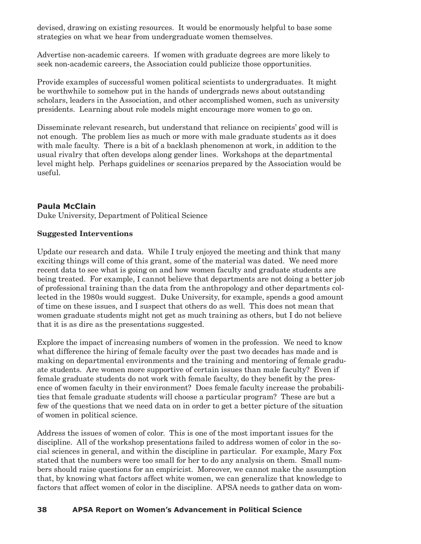devised, drawing on existing resources. It would be enormously helpful to base some strategies on what we hear from undergraduate women themselves.

Advertise non-academic careers. If women with graduate degrees are more likely to seek non-academic careers, the Association could publicize those opportunities.

Provide examples of successful women political scientists to undergraduates. It might be worthwhile to somehow put in the hands of undergrads news about outstanding scholars, leaders in the Association, and other accomplished women, such as university presidents. Learning about role models might encourage more women to go on.

Disseminate relevant research, but understand that reliance on recipients' good will is not enough. The problem lies as much or more with male graduate students as it does with male faculty. There is a bit of a backlash phenomenon at work, in addition to the usual rivalry that often develops along gender lines. Workshops at the departmental level might help. Perhaps guidelines or scenarios prepared by the Association would be useful.

# **Paula McClain**

Duke University, Department of Political Science

## **Suggested Interventions**

Update our research and data. While I truly enjoyed the meeting and think that many exciting things will come of this grant, some of the material was dated. We need more recent data to see what is going on and how women faculty and graduate students are being treated. For example, I cannot believe that departments are not doing a better job of professional training than the data from the anthropology and other departments collected in the 1980s would suggest. Duke University, for example, spends a good amount of time on these issues, and I suspect that others do as well. This does not mean that women graduate students might not get as much training as others, but I do not believe that it is as dire as the presentations suggested.

Explore the impact of increasing numbers of women in the profession. We need to know what difference the hiring of female faculty over the past two decades has made and is making on departmental environments and the training and mentoring of female graduate students. Are women more supportive of certain issues than male faculty? Even if female graduate students do not work with female faculty, do they benefit by the presence of women faculty in their environment? Does female faculty increase the probabilities that female graduate students will choose a particular program? These are but a few of the questions that we need data on in order to get a better picture of the situation of women in political science.

Address the issues of women of color. This is one of the most important issues for the discipline. All of the workshop presentations failed to address women of color in the social sciences in general, and within the discipline in particular. For example, Mary Fox stated that the numbers were too small for her to do any analysis on them. Small numbers should raise questions for an empiricist. Moreover, we cannot make the assumption that, by knowing what factors affect white women, we can generalize that knowledge to factors that affect women of color in the discipline. APSA needs to gather data on wom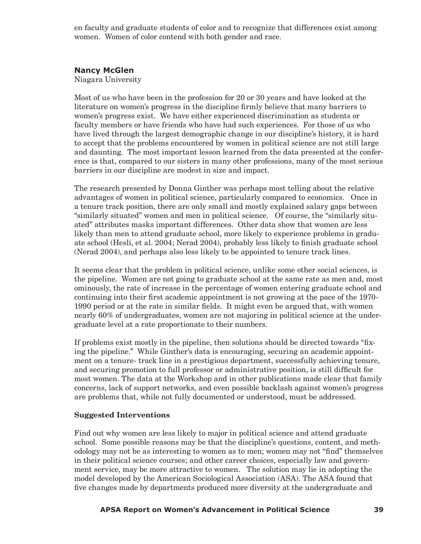en faculty and graduate students of color and to recognize that differences exist among women. Women of color contend with both gender and race.

## **Nancy McGlen**

Niagara University

Most of us who have been in the profession for 20 or 30 years and have looked at the literature on women's progress in the discipline firmly believe that many barriers to women's progress exist. We have either experienced discrimination as students or faculty members or have friends who have had such experiences. For those of us who have lived through the largest demographic change in our discipline's history, it is hard to accept that the problems encountered by women in political science are not still large and daunting. The most important lesson learned from the data presented at the conference is that, compared to our sisters in many other professions, many of the most serious barriers in our discipline are modest in size and impact.

The research presented by Donna Ginther was perhaps most telling about the relative advantages of women in political science, particularly compared to economics. Once in a tenure track position, there are only small and mostly explained salary gaps between "similarly situated" women and men in political science. Of course, the "similarly situated" attributes masks important differences. Other data show that women are less likely than men to attend graduate school, more likely to experience problems in graduate school (Hesli, et al. 2004; Nerad 2004), probably less likely to finish graduate school (Nerad 2004), and perhaps also less likely to be appointed to tenure track lines.

It seems clear that the problem in political science, unlike some other social sciences, is the pipeline. Women are not going to graduate school at the same rate as men and, most ominously, the rate of increase in the percentage of women entering graduate school and continuing into their first academic appointment is not growing at the pace of the 1970- 1990 period or at the rate in similar fields. It might even be argued that, with women nearly 60% of undergraduates, women are not majoring in political science at the undergraduate level at a rate proportionate to their numbers.

If problems exist mostly in the pipeline, then solutions should be directed towards "fixing the pipeline." While Ginther's data is encouraging, securing an academic appointment on a tenure- track line in a prestigious department, successfully achieving tenure, and securing promotion to full professor or administrative position, is still difficult for most women. The data at the Workshop and in other publications made clear that family concerns, lack of support networks, and even possible backlash against women's progress are problems that, while not fully documented or understood, must be addressed.

#### **Suggested Interventions**

Find out why women are less likely to major in political science and attend graduate school. Some possible reasons may be that the discipline's questions, content, and methodology may not be as interesting to women as to men; women may not "find" themselves in their political science courses; and other career choices, especially law and government service, may be more attractive to women. The solution may lie in adopting the model developed by the American Sociological Association (ASA). The ASA found that five changes made by departments produced more diversity at the undergraduate and

#### **38 APSA Report on Women's Advancement in Political Science APSA Report on Women's Advancement in Political Science 39**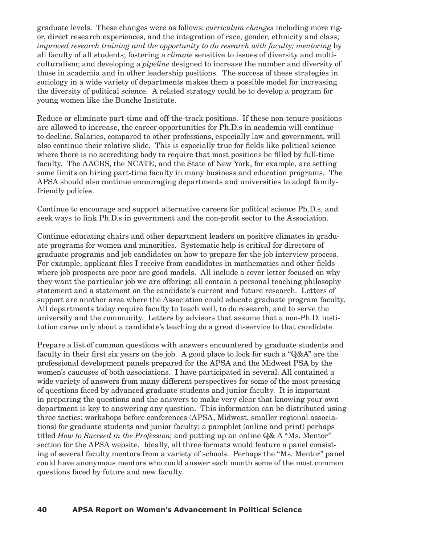graduate levels. These changes were as follows: *curriculum changes* including more rigor, direct research experiences, and the integration of race, gender, ethnicity and class; *improved research training and the opportunity to do research with faculty; mentoring* by all faculty of all students; fostering a *climate* sensitive to issues of diversity and multiculturalism; and developing a *pipeline* designed to increase the number and diversity of those in academia and in other leadership positions. The success of these strategies in sociology in a wide variety of departments makes them a possible model for increasing the diversity of political science. A related strategy could be to develop a program for young women like the Bunche Institute.

Reduce or eliminate part-time and off-the-track positions. If these non-tenure positions are allowed to increase, the career opportunities for Ph.D.s in academia will continue to decline. Salaries, compared to other professions, especially law and government, will also continue their relative slide. This is especially true for fields like political science where there is no accrediting body to require that most positions be filled by full-time faculty. The AACBS, the NCATE, and the State of New York, for example, are setting some limits on hiring part-time faculty in many business and education programs. The APSA should also continue encouraging departments and universities to adopt familyfriendly policies.

Continue to encourage and support alternative careers for political science Ph.D.s, and seek ways to link Ph.D.s in government and the non-profit sector to the Association.

Continue educating chairs and other department leaders on positive climates in graduate programs for women and minorities. Systematic help is critical for directors of graduate programs and job candidates on how to prepare for the job interview process. For example, applicant files I receive from candidates in mathematics and other fields where job prospects are poor are good models. All include a cover letter focused on why they want the particular job we are offering; all contain a personal teaching philosophy statement and a statement on the candidate's current and future research. Letters of support are another area where the Association could educate graduate program faculty. All departments today require faculty to teach well, to do research, and to serve the university and the community. Letters by advisors that assume that a non-Ph.D. institution cares only about a candidate's teaching do a great disservice to that candidate.

Prepare a list of common questions with answers encountered by graduate students and faculty in their first six years on the job. A good place to look for such a "Q&A" are the professional development panels prepared for the APSA and the Midwest PSA by the women's caucuses of both associations. I have participated in several. All contained a wide variety of answers from many different perspectives for some of the most pressing of questions faced by advanced graduate students and junior faculty. It is important in preparing the questions and the answers to make very clear that knowing your own department is key to answering any question. This information can be distributed using three tactics: workshops before conferences (APSA, Midwest, smaller regional associations) for graduate students and junior faculty; a pamphlet (online and print) perhaps titled *How to Succeed in the Profession*; and putting up an online Q& A "Ms. Mentor" section for the APSA website. Ideally, all three formats would feature a panel consisting of several faculty mentors from a variety of schools. Perhaps the "Ms. Mentor" panel could have anonymous mentors who could answer each month some of the most common questions faced by future and new faculty.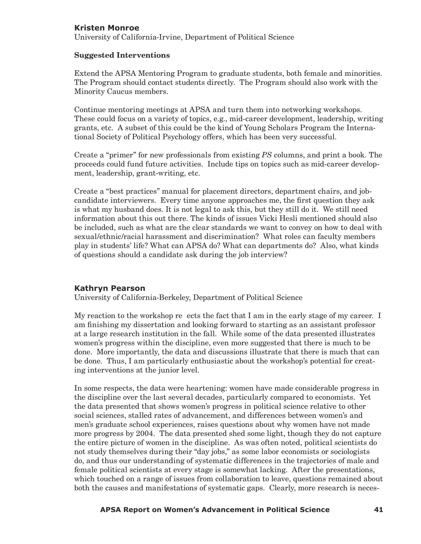## **Kristen Monroe**

University of California-Irvine, Department of Political Science

#### **Suggested Interventions**

Extend the APSA Mentoring Program to graduate students, both female and minorities. The Program should contact students directly. The Program should also work with the Minority Caucus members.

Continue mentoring meetings at APSA and turn them into networking workshops. These could focus on a variety of topics, e.g., mid-career development, leadership, writing grants, etc. A subset of this could be the kind of Young Scholars Program the International Society of Political Psychology offers, which has been very successful.

Create a "primer" for new professionals from existing *PS* columns, and print a book. The proceeds could fund future activities. Include tips on topics such as mid-career development, leadership, grant-writing, etc.

Create a "best practices" manual for placement directors, department chairs, and jobcandidate interviewers. Every time anyone approaches me, the first question they ask is what my husband does. It is not legal to ask this, but they still do it. We still need information about this out there. The kinds of issues Vicki Hesli mentioned should also be included, such as what are the clear standards we want to convey on how to deal with sexual/ethnic/racial harassment and discrimination? What roles can faculty members play in students' life? What can APSA do? What can departments do? Also, what kinds of questions should a candidate ask during the job interview?

## **Kathryn Pearson**

University of California-Berkeley, Department of Political Science

My reaction to the workshop re ects the fact that I am in the early stage of my career. I am finishing my dissertation and looking forward to starting as an assistant professor at a large research institution in the fall. While some of the data presented illustrates women's progress within the discipline, even more suggested that there is much to be done. More importantly, the data and discussions illustrate that there is much that can be done. Thus, I am particularly enthusiastic about the workshop's potential for creating interventions at the junior level.

In some respects, the data were heartening: women have made considerable progress in the discipline over the last several decades, particularly compared to economists. Yet the data presented that shows women's progress in political science relative to other social sciences, stalled rates of advancement, and differences between women's and men's graduate school experiences, raises questions about why women have not made more progress by 2004. The data presented shed some light, though they do not capture the entire picture of women in the discipline. As was often noted, political scientists do not study themselves during their "day jobs," as some labor economists or sociologists do, and thus our understanding of systematic differences in the trajectories of male and female political scientists at every stage is somewhat lacking. After the presentations, which touched on a range of issues from collaboration to leave, questions remained about both the causes and manifestations of systematic gaps. Clearly, more research is neces-

#### **40 APSA Report on Women's Advancement in Political Science APSA Report on Women's Advancement in Political Science 41**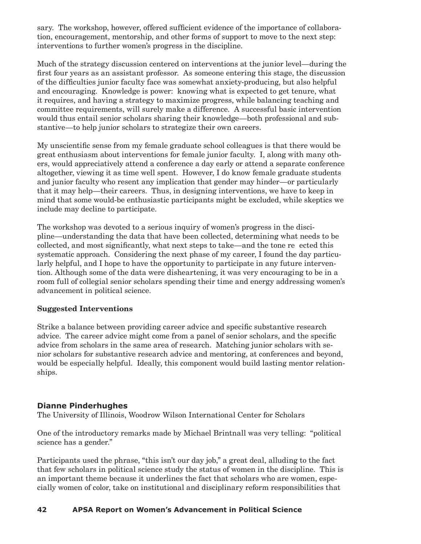sary. The workshop, however, offered sufficient evidence of the importance of collaboration, encouragement, mentorship, and other forms of support to move to the next step: interventions to further women's progress in the discipline.

Much of the strategy discussion centered on interventions at the junior level—during the first four years as an assistant professor. As someone entering this stage, the discussion of the difficulties junior faculty face was somewhat anxiety-producing, but also helpful and encouraging. Knowledge is power: knowing what is expected to get tenure, what it requires, and having a strategy to maximize progress, while balancing teaching and committee requirements, will surely make a difference. A successful basic intervention would thus entail senior scholars sharing their knowledge—both professional and substantive—to help junior scholars to strategize their own careers.

My unscientific sense from my female graduate school colleagues is that there would be great enthusiasm about interventions for female junior faculty. I, along with many others, would appreciatively attend a conference a day early or attend a separate conference altogether, viewing it as time well spent. However, I do know female graduate students and junior faculty who resent any implication that gender may hinder—or particularly that it may help—their careers. Thus, in designing interventions, we have to keep in mind that some would-be enthusiastic participants might be excluded, while skeptics we include may decline to participate.

The workshop was devoted to a serious inquiry of women's progress in the discipline—understanding the data that have been collected, determining what needs to be collected, and most significantly, what next steps to take—and the tone ree cted this systematic approach. Considering the next phase of my career, I found the day particularly helpful, and I hope to have the opportunity to participate in any future intervention. Although some of the data were disheartening, it was very encouraging to be in a room full of collegial senior scholars spending their time and energy addressing women's advancement in political science.

## **Suggested Interventions**

Strike a balance between providing career advice and specific substantive research advice. The career advice might come from a panel of senior scholars, and the specific advice from scholars in the same area of research. Matching junior scholars with senior scholars for substantive research advice and mentoring, at conferences and beyond, would be especially helpful. Ideally, this component would build lasting mentor relationships.

## **Dianne Pinderhughes**

The University of Illinois, Woodrow Wilson International Center for Scholars

One of the introductory remarks made by Michael Brintnall was very telling: "political science has a gender."

Participants used the phrase, "this isn't our day job," a great deal, alluding to the fact that few scholars in political science study the status of women in the discipline. This is an important theme because it underlines the fact that scholars who are women, especially women of color, take on institutional and disciplinary reform responsibilities that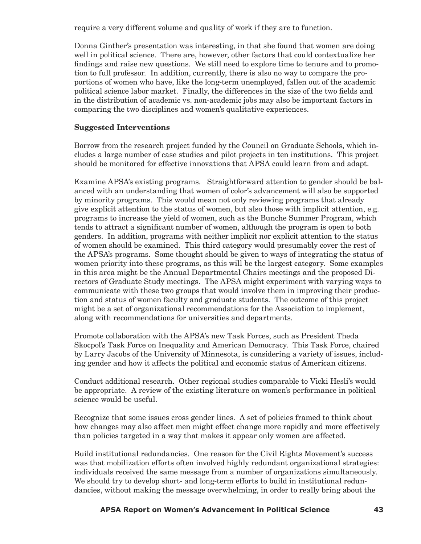require a very different volume and quality of work if they are to function.

Donna Ginther's presentation was interesting, in that she found that women are doing well in political science. There are, however, other factors that could contextualize her findings and raise new questions. We still need to explore time to tenure and to promotion to full professor. In addition, currently, there is also no way to compare the proportions of women who have, like the long-term unemployed, fallen out of the academic political science labor market. Finally, the differences in the size of the two fields and in the distribution of academic vs. non-academic jobs may also be important factors in comparing the two disciplines and women's qualitative experiences.

#### **Suggested Interventions**

Borrow from the research project funded by the Council on Graduate Schools, which includes a large number of case studies and pilot projects in ten institutions. This project should be monitored for effective innovations that APSA could learn from and adapt.

Examine APSA's existing programs. Straightforward attention to gender should be balanced with an understanding that women of color's advancement will also be supported by minority programs. This would mean not only reviewing programs that already give explicit attention to the status of women, but also those with implicit attention, e.g. programs to increase the yield of women, such as the Bunche Summer Program, which tends to attract a significant number of women, although the program is open to both genders. In addition, programs with neither implicit nor explicit attention to the status of women should be examined. This third category would presumably cover the rest of the APSA's programs. Some thought should be given to ways of integrating the status of women priority into these programs, as this will be the largest category. Some examples in this area might be the Annual Departmental Chairs meetings and the proposed Directors of Graduate Study meetings. The APSA might experiment with varying ways to communicate with these two groups that would involve them in improving their production and status of women faculty and graduate students. The outcome of this project might be a set of organizational recommendations for the Association to implement, along with recommendations for universities and departments.

Promote collaboration with the APSA's new Task Forces, such as President Theda Skocpol's Task Force on Inequality and American Democracy. This Task Force, chaired by Larry Jacobs of the University of Minnesota, is considering a variety of issues, including gender and how it affects the political and economic status of American citizens.

Conduct additional research. Other regional studies comparable to Vicki Hesli's would be appropriate. A review of the existing literature on women's performance in political science would be useful.

Recognize that some issues cross gender lines. A set of policies framed to think about how changes may also affect men might effect change more rapidly and more effectively than policies targeted in a way that makes it appear only women are affected.

Build institutional redundancies. One reason for the Civil Rights Movement's success was that mobilization efforts often involved highly redundant organizational strategies: individuals received the same message from a number of organizations simultaneously. We should try to develop short- and long-term efforts to build in institutional redundancies, without making the message overwhelming, in order to really bring about the

#### **42 APSA Report on Women's Advancement in Political Science APSA Report on Women's Advancement in Political Science 43**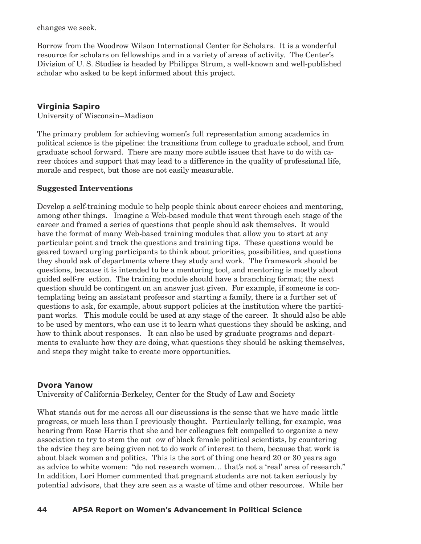changes we seek.

Borrow from the Woodrow Wilson International Center for Scholars. It is a wonderful resource for scholars on fellowships and in a variety of areas of activity. The Center's Division of U. S. Studies is headed by Philippa Strum, a well-known and well-published scholar who asked to be kept informed about this project.

# **Virginia Sapiro**

University of Wisconsin–Madison

The primary problem for achieving women's full representation among academics in political science is the pipeline: the transitions from college to graduate school, and from graduate school forward. There are many more subtle issues that have to do with career choices and support that may lead to a difference in the quality of professional life, morale and respect, but those are not easily measurable.

## **Suggested Interventions**

Develop a self-training module to help people think about career choices and mentoring, among other things. Imagine a Web-based module that went through each stage of the career and framed a series of questions that people should ask themselves. It would have the format of many Web-based training modules that allow you to start at any particular point and track the questions and training tips. These questions would be geared toward urging participants to think about priorities, possibilities, and questions they should ask of departments where they study and work. The framework should be questions, because it is intended to be a mentoring tool, and mentoring is mostly about guided self-ree ction. The training module should have a branching format; the next question should be contingent on an answer just given. For example, if someone is contemplating being an assistant professor and starting a family, there is a further set of questions to ask, for example, about support policies at the institution where the participant works. This module could be used at any stage of the career. It should also be able to be used by mentors, who can use it to learn what questions they should be asking, and how to think about responses. It can also be used by graduate programs and departments to evaluate how they are doing, what questions they should be asking themselves, and steps they might take to create more opportunities.

# **Dvora Yanow**

University of California-Berkeley, Center for the Study of Law and Society

What stands out for me across all our discussions is the sense that we have made little progress, or much less than I previously thought. Particularly telling, for example, was hearing from Rose Harris that she and her colleagues felt compelled to organize a new association to try to stem the out ow of black female political scientists, by countering the advice they are being given not to do work of interest to them, because that work is about black women and politics. This is the sort of thing one heard 20 or 30 years ago as advice to white women: "do not research women… that's not a 'real' area of research." In addition, Lori Homer commented that pregnant students are not taken seriously by potential advisors, that they are seen as a waste of time and other resources. While her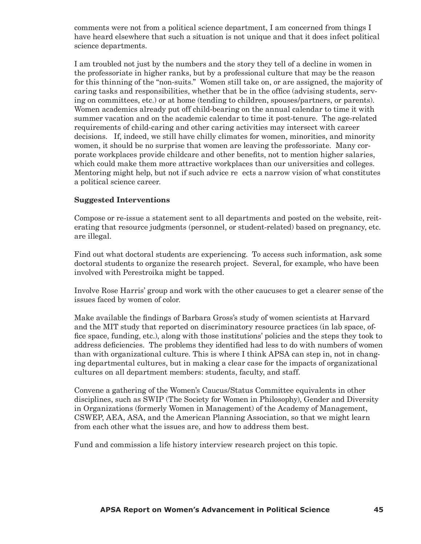comments were not from a political science department, I am concerned from things I have heard elsewhere that such a situation is not unique and that it does infect political science departments.

I am troubled not just by the numbers and the story they tell of a decline in women in the professoriate in higher ranks, but by a professional culture that may be the reason for this thinning of the "non-suits." Women still take on, or are assigned, the majority of caring tasks and responsibilities, whether that be in the office (advising students, serving on committees, etc.) or at home (tending to children, spouses/partners, or parents). Women academics already put off child-bearing on the annual calendar to time it with summer vacation and on the academic calendar to time it post-tenure. The age-related requirements of child-caring and other caring activities may intersect with career decisions. If, indeed, we still have chilly climates for women, minorities, and minority women, it should be no surprise that women are leaving the professoriate. Many corporate workplaces provide childcare and other benefits, not to mention higher salaries, which could make them more attractive workplaces than our universities and colleges. Mentoring might help, but not if such advice reflects a narrow vision of what constitutes a political science career.

#### **Suggested Interventions**

Compose or re-issue a statement sent to all departments and posted on the website, reiterating that resource judgments (personnel, or student-related) based on pregnancy, etc. are illegal.

Find out what doctoral students are experiencing. To access such information, ask some doctoral students to organize the research project. Several, for example, who have been involved with Perestroika might be tapped.

Involve Rose Harris' group and work with the other caucuses to get a clearer sense of the issues faced by women of color.

Make available the findings of Barbara Gross's study of women scientists at Harvard and the MIT study that reported on discriminatory resource practices (in lab space, office space, funding, etc.), along with those institutions' policies and the steps they took to address deficiencies. The problems they identified had less to do with numbers of women than with organizational culture. This is where I think APSA can step in, not in changing departmental cultures, but in making a clear case for the impacts of organizational cultures on all department members: students, faculty, and staff.

Convene a gathering of the Women's Caucus/Status Committee equivalents in other disciplines, such as SWIP (The Society for Women in Philosophy), Gender and Diversity in Organizations (formerly Women in Management) of the Academy of Management, CSWEP, AEA, ASA, and the American Planning Association, so that we might learn from each other what the issues are, and how to address them best.

Fund and commission a life history interview research project on this topic.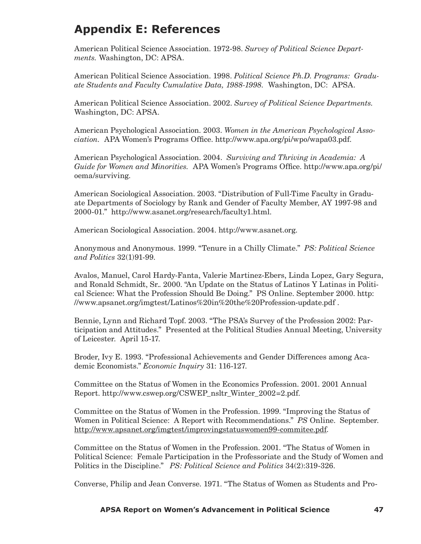# **Appendix E: References**

American Political Science Association. 1972-98. *Survey of Political Science Departments.* Washington, DC: APSA.

American Political Science Association. 1998. *Political Science Ph.D. Programs: Graduate Students and Faculty Cumulative Data, 1988-1998.* Washington, DC: APSA.

American Political Science Association. 2002. *Survey of Political Science Departments.*  Washington, DC: APSA.

American Psychological Association. 2003. *Women in the American Psychological Association.* APA Women's Programs Office. http://www.apa.org/pi/wpo/wapa03.pdf.

American Psychological Association. 2004. *Surviving and Thriving in Academia: A Guide for Women and Minorities.* APA Women's Programs Office. http://www.apa.org/pi/ oema/surviving.

American Sociological Association. 2003. "Distribution of Full-Time Faculty in Graduate Departments of Sociology by Rank and Gender of Faculty Member, AY 1997-98 and 2000-01." http://www.asanet.org/research/faculty1.html.

American Sociological Association. 2004. http://www.asanet.org.

Anonymous and Anonymous. 1999. "Tenure in a Chilly Climate." *PS: Political Science and Politics* 32(1)91-99.

Avalos, Manuel, Carol Hardy-Fanta, Valerie Martinez-Ebers, Linda Lopez, Gary Segura, and Ronald Schmidt, Sr.. 2000. "An Update on the Status of Latinos Y Latinas in Political Science: What the Profession Should Be Doing." PS Online. September 2000. http: //www.apsanet.org/imgtest/Latinos%20in%20the%20Profession-update.pdf .

Bennie, Lynn and Richard Topf. 2003. "The PSA's Survey of the Profession 2002: Participation and Attitudes." Presented at the Political Studies Annual Meeting, University of Leicester. April 15-17.

Broder, Ivy E. 1993. "Professional Achievements and Gender Differences among Academic Economists." *Economic Inquiry* 31: 116-127.

Committee on the Status of Women in the Economics Profession. 2001. 2001 Annual Report. http://www.cswep.org/CSWEP\_nsltr\_Winter\_2002=2.pdf.

Committee on the Status of Women in the Profession. 1999. "Improving the Status of Women in Political Science: A Report with Recommendations." *PS* Online. September. http://www.apsanet.org/imgtest/improvingstatuswomen99-commitee.pdf.

Committee on the Status of Women in the Profession. 2001. "The Status of Women in Political Science: Female Participation in the Professoriate and the Study of Women and Politics in the Discipline." *PS: Political Science and Politics* 34(2):319-326.

Converse, Philip and Jean Converse. 1971. "The Status of Women as Students and Pro-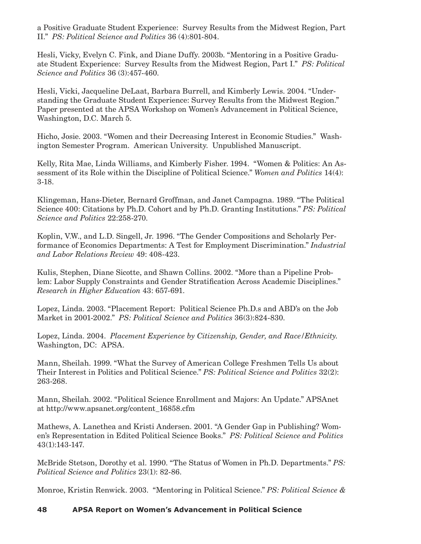a Positive Graduate Student Experience: Survey Results from the Midwest Region, Part II." *PS: Political Science and Politics* 36 (4):801-804.

Hesli, Vicky, Evelyn C. Fink, and Diane Duffy. 2003b. "Mentoring in a Positive Graduate Student Experience: Survey Results from the Midwest Region, Part I." *PS: Political Science and Politics* 36 (3):457-460.

Hesli, Vicki, Jacqueline DeLaat, Barbara Burrell, and Kimberly Lewis. 2004. "Understanding the Graduate Student Experience: Survey Results from the Midwest Region." Paper presented at the APSA Workshop on Women's Advancement in Political Science, Washington, D.C. March 5.

Hicho, Josie. 2003. "Women and their Decreasing Interest in Economic Studies." Washington Semester Program. American University. Unpublished Manuscript.

Kelly, Rita Mae, Linda Williams, and Kimberly Fisher. 1994. "Women & Politics: An Assessment of its Role within the Discipline of Political Science." *Women and Politics* 14(4): 3-18.

Klingeman, Hans-Dieter, Bernard Groffman, and Janet Campagna. 1989. "The Political Science 400: Citations by Ph.D. Cohort and by Ph.D. Granting Institutions." *PS: Political Science and Politics* 22:258-270.

Koplin, V.W., and L.D. Singell, Jr. 1996. "The Gender Compositions and Scholarly Performance of Economics Departments: A Test for Employment Discrimination." *Industrial and Labor Relations Review* 49: 408-423.

Kulis, Stephen, Diane Sicotte, and Shawn Collins. 2002. "More than a Pipeline Problem: Labor Supply Constraints and Gender Stratification Across Academic Disciplines." *Research in Higher Education* 43: 657-691.

Lopez, Linda. 2003. "Placement Report: Political Science Ph.D.s and ABD's on the Job Market in 2001-2002." *PS: Political Science and Politics* 36(3):824-830.

Lopez, Linda. 2004. *Placement Experience by Citizenship, Gender, and Race/Ethnicity.* Washington, DC: APSA.

Mann, Sheilah. 1999. "What the Survey of American College Freshmen Tells Us about Their Interest in Politics and Political Science." *PS: Political Science and Politics* 32(2): 263-268.

Mann, Sheilah. 2002. "Political Science Enrollment and Majors: An Update." APSAnet at http://www.apsanet.org/content\_16858.cfm

Mathews, A. Lanethea and Kristi Andersen. 2001. "A Gender Gap in Publishing? Women's Representation in Edited Political Science Books." *PS: Political Science and Politics* 43(1):143-147.

McBride Stetson, Dorothy et al. 1990. "The Status of Women in Ph.D. Departments." *PS: Political Science and Politics* 23(1): 82-86.

Monroe, Kristin Renwick. 2003. "Mentoring in Political Science." *PS: Political Science &*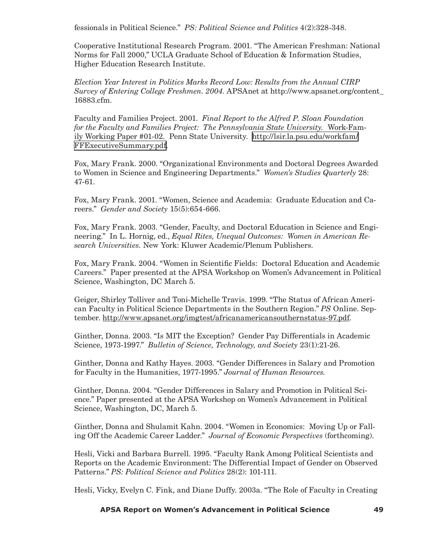fessionals in Political Science." *PS: Political Science and Politics* 4(2):328-348.

Cooperative Institutional Research Program. 2001. "The American Freshman: National Norms for Fall 2000," UCLA Graduate School of Education & Information Studies, Higher Education Research Institute.

*Election Year Interest in Politics Marks Record Low: Results from the Annual CIRP Survey of Entering College Freshmen. 2004*. APSAnet at http://www.apsanet.org/content\_ 16883.cfm.

Faculty and Families Project. 2001. *Final Report to the Alfred P. Sloan Foundation for the Faculty and Families Project: The Pennsylvania State University.* Work-Family Working Paper #01-02. Penn State University. [http://lsir.la.psu.edu/workfam/](http://lsir.la.psu.edu/workfam/FFExecutiveSummary.pdf) [FFExecutiveSummary.pdf.](http://lsir.la.psu.edu/workfam/FFExecutiveSummary.pdf)

Fox, Mary Frank. 2000. "Organizational Environments and Doctoral Degrees Awarded to Women in Science and Engineering Departments." *Women's Studies Quarterly* 28: 47-61.

Fox, Mary Frank. 2001. "Women, Science and Academia: Graduate Education and Careers." *Gender and Society* 15(5):654-666.

Fox, Mary Frank. 2003. "Gender, Faculty, and Doctoral Education in Science and Engineering." In L. Hornig, ed., *Equal Rites, Unequal Outcomes: Women in American Research Universities.* New York: Kluwer Academic/Plenum Publishers.

Fox, Mary Frank. 2004. "Women in Scientific Fields: Doctoral Education and Academic Careers." Paper presented at the APSA Workshop on Women's Advancement in Political Science, Washington, DC March 5.

Geiger, Shirley Tolliver and Toni-Michelle Travis. 1999. "The Status of African American Faculty in Political Science Departments in the Southern Region." *PS* Online. September. http://www.apsanet.org/imgtest/africanamericansouthernstatus-97.pdf.

Ginther, Donna. 2003. "Is MIT the Exception? Gender Pay Differentials in Academic Science, 1973-1997." *Bulletin of Science, Technology, and Society* 23(1):21-26.

Ginther, Donna and Kathy Hayes. 2003. "Gender Differences in Salary and Promotion for Faculty in the Humanities, 1977-1995." *Journal of Human Resources*.

Ginther, Donna. 2004. "Gender Differences in Salary and Promotion in Political Science." Paper presented at the APSA Workshop on Women's Advancement in Political Science, Washington, DC, March 5.

Ginther, Donna and Shulamit Kahn. 2004. "Women in Economics: Moving Up or Falling Off the Academic Career Ladder." *Journal of Economic Perspectives* (forthcoming).

Hesli, Vicki and Barbara Burrell. 1995. "Faculty Rank Among Political Scientists and Reports on the Academic Environment: The Differential Impact of Gender on Observed Patterns." *PS: Political Science and Politics* 28(2): 101-111.

Hesli, Vicky, Evelyn C. Fink, and Diane Duffy. 2003a. "The Role of Faculty in Creating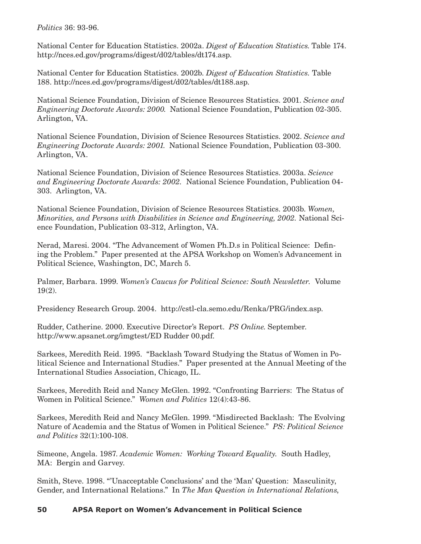*Politics* 36: 93-96.

National Center for Education Statistics. 2002a. *Digest of Education Statistics*. Table 174. http://nces.ed.gov/programs/digest/d02/tables/dt174.asp.

National Center for Education Statistics. 2002b. *Digest of Education Statistics.* Table 188. http://nces.ed.gov/programs/digest/d02/tables/dt188.asp.

National Science Foundation, Division of Science Resources Statistics. 2001. *Science and Engineering Doctorate Awards: 2000*. National Science Foundation, Publication 02-305. Arlington, VA.

National Science Foundation, Division of Science Resources Statistics. 2002. *Science and Engineering Doctorate Awards: 2001*. National Science Foundation, Publication 03-300. Arlington, VA.

National Science Foundation, Division of Science Resources Statistics. 2003a. *Science and Engineering Doctorate Awards: 2002.* National Science Foundation, Publication 04- 303. Arlington, VA.

National Science Foundation, Division of Science Resources Statistics. 2003b. *Women, Minorities, and Persons with Disabilities in Science and Engineering, 2002.* National Science Foundation, Publication 03-312, Arlington, VA.

Nerad, Maresi. 2004. "The Advancement of Women Ph.D.s in Political Science: Defining the Problem." Paper presented at the APSA Workshop on Women's Advancement in Political Science, Washington, DC, March 5.

Palmer, Barbara. 1999. *Women's Caucus for Political Science: South Newsletter.* Volume 19(2).

Presidency Research Group. 2004. http://cstl-cla.semo.edu/Renka/PRG/index.asp.

Rudder, Catherine. 2000. Executive Director's Report. *PS Online*. September. http://www.apsanet.org/imgtest/ED Rudder 00.pdf.

Sarkees, Meredith Reid. 1995. "Backlash Toward Studying the Status of Women in Political Science and International Studies." Paper presented at the Annual Meeting of the International Studies Association, Chicago, IL.

Sarkees, Meredith Reid and Nancy McGlen. 1992. "Confronting Barriers: The Status of Women in Political Science." *Women and Politics* 12(4):43-86.

Sarkees, Meredith Reid and Nancy McGlen. 1999. "Misdirected Backlash: The Evolving Nature of Academia and the Status of Women in Political Science." *PS: Political Science and Politics* 32(1):100-108.

Simeone, Angela. 1987. *Academic Women: Working Toward Equality.* South Hadley, MA: Bergin and Garvey.

Smith, Steve. 1998. "'Unacceptable Conclusions' and the 'Man' Question: Masculinity, Gender, and International Relations." In *The Man Question in International Relations*,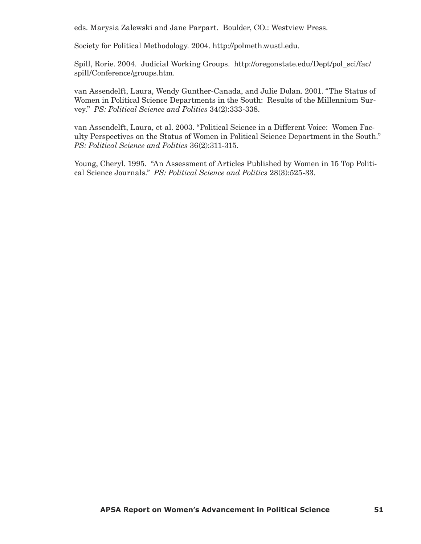eds. Marysia Zalewski and Jane Parpart. Boulder, CO.: Westview Press.

Society for Political Methodology. 2004. http://polmeth.wustl.edu.

Spill, Rorie. 2004. Judicial Working Groups. http://oregonstate.edu/Dept/pol\_sci/fac/ spill/Conference/groups.htm.

van Assendelft, Laura, Wendy Gunther-Canada, and Julie Dolan. 2001. "The Status of Women in Political Science Departments in the South: Results of the Millennium Survey." *PS: Political Science and Politics* 34(2):333-338.

van Assendelft, Laura, et al. 2003. "Political Science in a Different Voice: Women Faculty Perspectives on the Status of Women in Political Science Department in the South." *PS: Political Science and Politics* 36(2):311-315.

Young, Cheryl. 1995. "An Assessment of Articles Published by Women in 15 Top Political Science Journals." *PS: Political Science and Politics* 28(3):525-33.